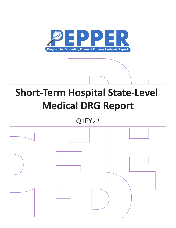

# **Short-Term Hospital State-Level Medical DRG Report**

## Q1FY22

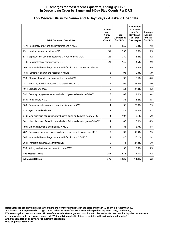#### **Discharges for most recent 4 quarters, ending Q1FY22 1 In Descending Order by Same- and 1-Day Stay Counts Per DRG**

## **Top Medical DRGs for Same- and 1-Day Stays - Alaska, 8 Hospitals**

| <b>DRG Code and Description</b>                                                | Same-<br>and<br>1-Day<br>Stav<br>Count* | <b>Total</b><br><b>Discharges</b><br>for DRG* | Proportion<br>of Same-<br>and $1-$<br>Day Stays<br>to Total<br><b>Discharges</b> | Average<br>Length<br>of Stay<br>for DRG |
|--------------------------------------------------------------------------------|-----------------------------------------|-----------------------------------------------|----------------------------------------------------------------------------------|-----------------------------------------|
| 177 : Respiratory infections and inflammations w MCC                           | 41                                      | 650                                           | 6.3%                                                                             | 7.8                                     |
| 291 : Heart failure and shock w MCC                                            | 31                                      | 393                                           | 7.9%                                                                             | 6.5                                     |
| 871 : Septicemia or severe sepsis w/o MV >96 hours w MCC                       | 25                                      | 789                                           | 3.2%                                                                             | 8.2                                     |
| 378 : Gastrointestinal hemorrhage w CC                                         | 21                                      | 145                                           | 14.5%                                                                            | 2.9                                     |
| 065 : Intracranial hemorrhage or cerebral infarction w CC or tPA in 24 hours   | 20                                      | 212                                           | 9.4%                                                                             | 5.9                                     |
| 189 : Pulmonary edema and respiratory failure                                  | 18                                      | 193                                           | 9.3%                                                                             | 5.9                                     |
| 190 : Chronic obstructive pulmonary disease w MCC                              | 18                                      | 97                                            | 18.6%                                                                            | 4.0                                     |
| 281 : Acute myocardial infarction, discharged alive w CC                       | 17                                      | 66                                            | 25.8%                                                                            | 3.0                                     |
| 101 : Seizures w/o MCC                                                         | 15                                      | 54                                            | 27.8%                                                                            | 4.2                                     |
| 392 : Esophagitis, gastroenteritis and misc digestive disorders w/o MCC        | 15                                      | 107                                           | 14.0%                                                                            | 3.4                                     |
| 683 : Renal failure w CC                                                       | 15                                      | 134                                           | 11.2%                                                                            | 4.5                                     |
| 309 : Cardiac arrhythmia and conduction disorders w CC                         | 14                                      | 56                                            | 25.0%                                                                            | 2.9                                     |
| 312 : Syncope and collapse                                                     | 14                                      | 49                                            | 28.6%                                                                            | 3.2                                     |
| 640 : Misc disorders of nutrition, metabolism, fluids and electrolytes w MCC   | 14                                      | 107                                           | 13.1%                                                                            | 6.9                                     |
| 641 : Misc disorders of nutrition, metabolism, fluids and electrolytes w/o MCC | 14                                      | 88                                            | 15.9%                                                                            | 4.3                                     |
| 193 : Simple pneumonia and pleurisy w MCC                                      | 13                                      | 83                                            | 15.7%                                                                            | 4.8                                     |
| 287 : Circulatory disorders except AMI, w cardiac catheterization w/o MCC      | 13                                      | 33                                            | 39.4%                                                                            | 2.5                                     |
| 066 : Intracranial hemorrhage or cerebral infarction w/o CC/MCC                | 12                                      | 46                                            | 26.1%                                                                            | 2.4                                     |
| 069 : Transient ischemia w/o thrombolytic                                      | 12                                      | 44                                            | 27.3%                                                                            | 5.0                                     |
| 690 : Kidney and urinary tract infections w/o MCC                              | 12                                      | 90                                            | 13.3%                                                                            | 3.5                                     |
| <b>Top Medical DRGs</b>                                                        | 354                                     | 3,436                                         | 10.3%                                                                            | 6.2                                     |
| <b>All Medical DRGs</b>                                                        | 775                                     | 7,536                                         | 10.3%                                                                            | 6.3                                     |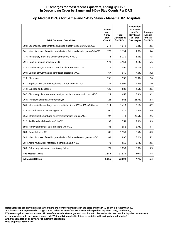| <b>DRG Code and Description</b>                                                | Same-<br>and<br>1-Dav<br><b>Stay</b><br>Count* | <b>Total</b><br><b>Discharges</b><br>for DRG* | Proportion<br>of Same-<br>and $1-$<br>Day Stays<br>to Total<br><b>Discharges</b> | Average<br>Length<br>of Stay<br>for DRG |
|--------------------------------------------------------------------------------|------------------------------------------------|-----------------------------------------------|----------------------------------------------------------------------------------|-----------------------------------------|
| 392 : Esophagitis, gastroenteritis and misc digestive disorders w/o MCC        | 211                                            | 1.642                                         | 12.9%                                                                            | 3.5                                     |
| 641 : Misc disorders of nutrition, metabolism, fluids and electrolytes w/o MCC | 177                                            | 1,194                                         | 14.8%                                                                            | 3.4                                     |
| 177 : Respiratory infections and inflammations w MCC                           | 173                                            | 5,730                                         | 3.0%                                                                             | 7.5                                     |
| 291 : Heart failure and shock w MCC                                            | 171                                            | 4,153                                         | 4.1%                                                                             | 5.6                                     |
| 310 : Cardiac arrhythmia and conduction disorders w/o CC/MCC                   | 171                                            | 596                                           | 28.7%                                                                            | 2.3                                     |
| 309 : Cardiac arrhythmia and conduction disorders w CC                         | 167                                            | 949                                           | 17.6%                                                                            | 3.2                                     |
| 313 : Chest pain                                                               | 156                                            | 532                                           | 29.3%                                                                            | 2.6                                     |
| 871 : Septicemia or severe sepsis w/o MV >96 hours w MCC                       | 137                                            | 5,597                                         | 2.4%                                                                             | 7.9                                     |
| 312 : Syncope and collapse                                                     | 130                                            | 888                                           | 14.6%                                                                            | 3.5                                     |
| 287 : Circulatory disorders except AMI, w cardiac catheterization w/o MCC      | 124                                            | 655                                           | 18.9%                                                                            | 3.2                                     |
| 069 : Transient ischemia w/o thrombolytic                                      | 123                                            | 566                                           | 21.7%                                                                            | 2.8                                     |
| 065 : Intracranial hemorrhage or cerebral infarction w CC or tPA in 24 hours   | 114                                            | 1,413                                         | 8.1%                                                                             | 4.2                                     |
| 378 : Gastrointestinal hemorrhage w CC                                         | 100                                            | 1,571                                         | 6.4%                                                                             | 3.9                                     |
| 066 : Intracranial hemorrhage or cerebral infarction w/o CC/MCC                | 97                                             | 411                                           | 23.6%                                                                            | 2.6                                     |
| 812 : Red blood cell disorders w/o MCC                                         | 92                                             | 751                                           | 12.3%                                                                            | 3.9                                     |
| 690 : Kidney and urinary tract infections w/o MCC                              | 88                                             | 1,552                                         | 5.7%                                                                             | 4.1                                     |
| 683 : Renal failure w CC                                                       | 86                                             | 1,150                                         | 7.5%                                                                             | 4.3                                     |
| 640 : Misc disorders of nutrition, metabolism, fluids and electrolytes w MCC   | 81                                             | 990                                           | 8.2%                                                                             | 5.2                                     |
| 281 : Acute myocardial infarction, discharged alive w CC                       | 73                                             | 556                                           | 13.1%                                                                            | 3.5                                     |
| 189 : Pulmonary edema and respiratory failure                                  | 71                                             | 1,039                                         | 6.8%                                                                             | 5.5                                     |
| <b>Top Medical DRGs</b>                                                        | 2,542                                          | 31,935                                        | 8.0%                                                                             | 5.4                                     |
| <b>All Medical DRGs</b>                                                        | 5,665                                          | 73,692                                        | 7.7%                                                                             | 5.4                                     |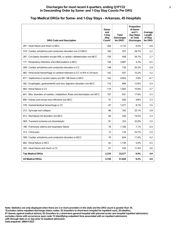#### **Discharges for most recent 4 quarters, ending Q1FY22 3 In Descending Order by Same- and 1-Day Stay Counts Per DRG**

## **Top Medical DRGs for Same- and 1-Day Stays - Arkansas, 45 Hospitals**

| <b>DRG Code and Description</b>                                                | Same-<br>and<br>1-Day<br>Stay<br>Count* | <b>Total</b><br><b>Discharges</b><br>for DRG* | Proportion<br>of Same-<br>and $1-$<br>Day Stays<br>to Total<br><b>Discharges</b> | Average<br>Length<br>of Stay<br>for DRG |
|--------------------------------------------------------------------------------|-----------------------------------------|-----------------------------------------------|----------------------------------------------------------------------------------|-----------------------------------------|
| 291 : Heart failure and shock w MCC                                            | 204                                     | 3.133                                         | 6.5%                                                                             | 4.8                                     |
| 310 : Cardiac arrhythmia and conduction disorders w/o CC/MCC                   | 160                                     | 557                                           | 28.7%                                                                            | 2.2                                     |
| 287 : Circulatory disorders except AMI, w cardiac catheterization w/o MCC      | 159                                     | 458                                           | 34.7%                                                                            | 2.7                                     |
| 177 : Respiratory infections and inflammations w MCC                           | 158                                     | 3,687                                         | 4.3%                                                                             | 6.5                                     |
| 309 : Cardiac arrhythmia and conduction disorders w CC                         | 148                                     | 730                                           | 20.3%                                                                            | 2.9                                     |
| 065 : Intracranial hemorrhage or cerebral infarction w CC or tPA in 24 hours   | 142                                     | 937                                           | 15.2%                                                                            | 3.2                                     |
| 871 : Septicemia or severe sepsis w/o MV >96 hours w MCC                       | 142                                     | 4,954                                         | 2.9%                                                                             | 6.7                                     |
| 392 : Esophagitis, gastroenteritis and misc digestive disorders w/o MCC        | 116                                     | 894                                           | 13.0%                                                                            | 3.4                                     |
| 683 : Renal failure w CC                                                       | 110                                     | 1,005                                         | 10.9%                                                                            | 3.7                                     |
| 641 : Misc disorders of nutrition, metabolism, fluids and electrolytes w/o MCC | 107                                     | 631                                           | 17.0%                                                                            | 3.3                                     |
| 690 : Kidney and urinary tract infections w/o MCC                              | 91                                      | 930                                           | 9.8%                                                                             | 3.3                                     |
| 378 : Gastrointestinal hemorrhage w CC                                         | 87                                      | 1.077                                         | 8.1%                                                                             | 3.5                                     |
| 312 : Syncope and collapse                                                     | 86                                      | 343                                           | 25.1%                                                                            | 2.8                                     |
| 812 : Red blood cell disorders w/o MCC                                         | 84                                      | 430                                           | 19.5%                                                                            | 3.3                                     |
| 069 : Transient ischemia w/o thrombolytic                                      | 81                                      | 253                                           | 32.0%                                                                            | 2.5                                     |
| 189 : Pulmonary edema and respiratory failure                                  | 78                                      | 1,106                                         | 7.1%                                                                             | 4.4                                     |
| 313 : Chest pain                                                               | 72                                      | 134                                           | 53.7%                                                                            | 2.0                                     |
| 308 : Cardiac arrhythmia and conduction disorders w MCC                        | 70                                      | 634                                           | 11.0%                                                                            | 4.2                                     |
| 682 : Renal failure w MCC                                                      | 62                                      | 1,150                                         | 5.4%                                                                             | 5.5                                     |
| 292 : Heart failure and shock w CC                                             | 61                                      | 534                                           | 11.4%                                                                            | 3.6                                     |
| <b>Top Medical DRGs</b>                                                        | 2,218                                   | 23.577                                        | 9.4%                                                                             | 4.9                                     |
| <b>All Medical DRGs</b>                                                        | 4,728                                   | 51,649                                        | 9.2%                                                                             | 4.9                                     |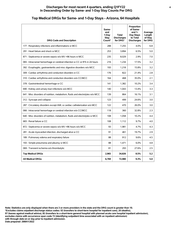#### **Discharges for most recent 4 quarters, ending Q1FY22 4 In Descending Order by Same- and 1-Day Stay Counts Per DRG**

#### **DRG Code and Description Sameand 1-Day Stay Count\* Total Discharges for DRG\* Proportion of Sameand 1- Day Stays to Total Discharges Average Length of Stay for DRG** 177 : Respiratory infections and inflammations w MCC  $\begin{array}{|c|c|c|c|c|c|c|c|c|} \hline & 288 & & 7,255 & 4.0\% & 6.8 \\\hline \end{array}$ 291 : Heart failure and shock w MCC 253 3,894 6.5% 5.0 871 : Septicemia or severe sepsis w/o MV >96 hours w MCC 235 8,029 2.9% 7.0 065 : Intracranial hemorrhage or cerebral infarction w CC or tPA in 24 hours | 216 | 1,234 | 17.5% | 3.2 392 : Esophagitis, gastroenteritis and misc digestive disorders w/o MCC | 193 | 1,218 | 15.8% | 3.2 309 : Cardiac arrhythmia and conduction disorders w CC 176 | 176 822 21.4% 2.8 310 : Cardiac arrhythmia and conduction disorders w/o CC/MCC  $\vert$  164 468  $\vert$  35.0% 2.1 378 : Gastrointestinal hemorrhage w CC 141 | 1,382 | 10.2% 3.4 690 : Kidney and urinary tract infections w/o MCC  $\begin{array}{|c|c|c|c|c|c|c|c|} \hline \end{array}$  140  $\begin{array}{|c|c|c|c|c|c|} \hline \end{array}$  1,043  $\begin{array}{|c|c|c|c|c|} \hline \end{array}$  13.4% 3.3 641 : Misc disorders of nutrition, metabolism, fluids and electrolytes w/o MCC  $\vert$  139  $\vert$  864 16.1% 3.1 312 : Syncope and collapse 123  $\vert$  123  $\vert$  123  $\vert$  24.6%  $\vert$  3.0 287 : Circulatory disorders except AMI, w cardiac catheterization w/o MCC | 122 | 470 | 26.0% 3.0 066 : Intracranial hemorrhage or cerebral infarction w/o CC/MCC 118 360 360 32.8% 2.3 640 : Misc disorders of nutrition, metabolism, fluids and electrolytes w MCC | 108 | 1,058 | 10.2% | 4.4 683 : Renal failure w CC 683 : Renal failure w CC 683 : Renal failure w CC 683 : Renal failure w CC 683 : Renal failure w CC 683 : Renal failure w CC 683 : Renal failure w CC 683 : Renal failure w CC 683 : Renal failure w 872 : Septicemia or severe sepsis w/o MV >96 hours w/o MCC 93 1,981 4.7% 4.3 281 : Acute myocardial infarction, discharged alive w CC  $\vert$  91  $\vert$  461  $\vert$  19.7% 2.9 189 : Pulmonary edema and respiratory failure **88** 88 912 9.6% 4.5 193 : Simple pneumonia and pleurisy w MCC  $\begin{array}{|c|c|c|c|c|c|c|c|c|} \hline \end{array}$  88  $\begin{array}{|c|c|c|c|c|c|} \hline \end{array}$  1,471  $\begin{array}{|c|c|c|c|c|c|} \hline \end{array}$  4.8 069 : Transient ischemia w/o thrombolytic  $\begin{array}{|c|c|c|c|c|c|c|c|c|} \hline \text{069 :} & \text{293 } & \text{27.6\%} & \text{2.5} \end{array}$ **Top Medical DRGs 2,965 34,826 8.5% 5.2 All Medical DRGs 6,769 72,980 9.3% 5.0**

## **Top Medical DRGs for Same- and 1-Day Stays - Arizona, 64 Hospitals**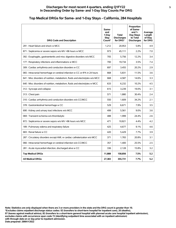#### **Discharges for most recent 4 quarters, ending Q1FY22 5 In Descending Order by Same- and 1-Day Stay Counts Per DRG**

#### **DRG Code and Description Sameand 1-Day Stay Count\* Total Discharges for DRG\* Proportion of Sameand 1- Day Stays to Total Discharges Average Length of Stay for DRG** 291 : Heart failure and shock w MCC 1,212 20,953 5.8% 4.9 871 : Septicemia or severe sepsis w/o MV >96 hours w MCC 973 45,111 2.2% 7.0 392 : Esophagitis, gastroenteritis and misc digestive disorders w/o MCC  $\qquad$  705  $\qquad$  5,756  $\qquad$  12.2% 3.4 177 : Respiratory infections and inflammations w MCC 700 19,734 3.5% 7.4 309 : Cardiac arrhythmia and conduction disorders w CC  $\vert$  697  $\vert$  3,455  $\vert$  20.2% 2.9 065 : Intracranial hemorrhage or cerebral infarction w CC or tPA in 24 hours | 668 | 5,831 | 11.5% | 3.6 641 : Misc disorders of nutrition, metabolism, fluids and electrolytes w/o MCC  $\vert$  668  $\vert$  4,587  $\vert$  14.6% 3.3 640 : Misc disorders of nutrition, metabolism, fluids and electrolytes w MCC  $\qquad \qquad 633 \qquad 6,232 \qquad 10.2\% \qquad 4.5$ 312 : Syncope and collapse 615  $\vert$  615  $\vert$  3,239  $\vert$  19.0% 3.1 313 : Chest pain 671 2.4 310 : Cardiac arrhythmia and conduction disorders w/o CC/MCC  $\begin{array}{|c|c|c|c|c|c|c|c|c|} \hline \end{array}$  550 1,609 34.2% 2.1 378 : Gastrointestinal hemorrhage w CC 6571  $\vert$  529 6,671  $\vert$  7.9% 3.5 690 : Kidney and urinary tract infections w/o MCC  $\begin{array}{|c|c|c|c|c|c|c|c|} \hline \end{array}$  499 5,561 9.0% 3.6 069 : Transient ischemia w/o thrombolytic 488 1,999 24.4% 2.6 872 : Septicemia or severe sepsis w/o MV >96 hours w/o MCC  $\begin{array}{|c|c|c|c|c|c|c|c|c|} \hline &421 & 10,821 & 4.4\% & 4.2 \hline \end{array}$ 189 : Pulmonary edema and respiratory failure 425 | 425 | 4,677 | 9.1% | 4.6 683 : Renal failure w CC 683 : Renal failure w CC 683 : Renal failure w CC 683 : Renal failure w CC 683 : Renal failure w CC 683 : Renal failure w CC 683 : Renal failure w CC 683 : Renal failure w CC 683 : Renal failure w 287 : Circulatory disorders except AMI, w cardiac catheterization w/o MCC | 371 | 1,783 | 20.8% | 3.1 066 : Intracranial hemorrhage or cerebral infarction w/o CC/MCC 357 1,400 25.5% 2.5 281 : Acute myocardial infarction, discharged alive w CC  $\vert$  336  $\vert$  2,128 15.8% 3.2 **Top Medical DRGs 11,888 158,856 7.5% 5.2 All Medical DRGs 27,383 355,731 7.7% 5.2**

## **Top Medical DRGs for Same- and 1-Day Stays - California, 284 Hospitals**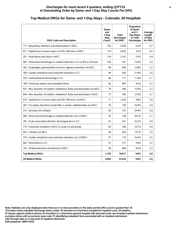#### **Discharges for most recent 4 quarters, ending Q1FY22 6 In Descending Order by Same- and 1-Day Stay Counts Per DRG**

## **Top Medical DRGs for Same- and 1-Day Stays - Colorado, 50 Hospitals**

| <b>DRG Code and Description</b>                                                | Same-<br>and<br>1-Day<br>Stay<br>Count* | <b>Total</b><br><b>Discharges</b><br>for DRG* | Proportion<br>of Same-<br>and $1-$<br>Day Stays<br>to Total<br><b>Discharges</b> | Average<br>Length<br>of Stay<br>for DRG |
|--------------------------------------------------------------------------------|-----------------------------------------|-----------------------------------------------|----------------------------------------------------------------------------------|-----------------------------------------|
| 177 : Respiratory infections and inflammations w MCC                           | 192                                     | 3,039                                         | 6.3%                                                                             | 6.7                                     |
| 871 : Septicemia or severe sepsis w/o MV >96 hours w MCC                       | 174                                     | 4,935                                         | 3.5%                                                                             | 6.5                                     |
| 291 : Heart failure and shock w MCC                                            | 119                                     | 2,167                                         | 5.5%                                                                             | 4.9                                     |
| 065 : Intracranial hemorrhage or cerebral infarction w CC or tPA in 24 hours   | 105                                     | 701                                           | 15.0%                                                                            | 3.5                                     |
| 392 : Esophagitis, gastroenteritis and misc digestive disorders w/o MCC        | 99                                      | 626                                           | 15.8%                                                                            | 3.2                                     |
| 309 : Cardiac arrhythmia and conduction disorders w CC                         | 94                                      | 430                                           | 21.9%                                                                            | 2.6                                     |
| 378 : Gastrointestinal hemorrhage w CC                                         | 84                                      | 711                                           | 11.8%                                                                            | 3.1                                     |
| 189 : Pulmonary edema and respiratory failure                                  | 82                                      | 887                                           | 9.2%                                                                             | 4.2                                     |
| 641 : Misc disorders of nutrition, metabolism, fluids and electrolytes w/o MCC | 79                                      | 496                                           | 15.9%                                                                            | 3.2                                     |
| 640 : Misc disorders of nutrition, metabolism, fluids and electrolytes w MCC   | 77                                      | 595                                           | 12.9%                                                                            | 4.7                                     |
| 872 : Septicemia or severe sepsis w/o MV >96 hours w/o MCC                     | 71                                      | 1,225                                         | 5.8%                                                                             | 3.8                                     |
| 287 : Circulatory disorders except AMI, w cardiac catheterization w/o MCC      | 70                                      | 195                                           | 35.9%                                                                            | 2.9                                     |
| 312 : Syncope and collapse                                                     | 63                                      | 253                                           | 24.9%                                                                            | 2.8                                     |
| 066 : Intracranial hemorrhage or cerebral infarction w/o CC/MCC                | 62                                      | 169                                           | 36.7%                                                                            | 2.1                                     |
| 281 : Acute myocardial infarction, discharged alive w CC                       | 61                                      | 241                                           | 25.3%                                                                            | 2.6                                     |
| 175 : Pulmonary embolism w MCC or acute cor pulmonale                          | 60                                      | 559                                           | 10.7%                                                                            | 4.0                                     |
| 603 : Cellulitis w/o MCC                                                       | 58                                      | 424                                           | 13.7%                                                                            | 3.5                                     |
| 310 : Cardiac arrhythmia and conduction disorders w/o CC/MCC                   | 57                                      | 175                                           | 32.6%                                                                            | 2.0                                     |
| 683 : Renal failure w CC                                                       | 57                                      | 577                                           | 9.9%                                                                             | 3.7                                     |
| 193 : Simple pneumonia and pleurisy w MCC                                      | 56                                      | 666                                           | 8.4%                                                                             | 4.3                                     |
| <b>Top Medical DRGs</b>                                                        | 1.720                                   | 19,071                                        | 9.0%                                                                             | 5.0                                     |
| <b>All Medical DRGs</b>                                                        | 4,059                                   | 41,618                                        | 9.8%                                                                             | 5.0                                     |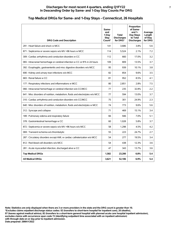## **Top Medical DRGs for Same- and 1-Day Stays - Connecticut, 26 Hospitals**

| <b>DRG Code and Description</b>                                                | Same-<br>and<br>1-Day<br>Stay<br>Count* | <b>Total</b><br><b>Discharges</b><br>for DRG* | Proportion<br>of Same-<br>and $1-$<br>Day Stays<br>to Total<br><b>Discharges</b> | Average<br>Length<br>of Stay<br>for DRG |
|--------------------------------------------------------------------------------|-----------------------------------------|-----------------------------------------------|----------------------------------------------------------------------------------|-----------------------------------------|
| 291 : Heart failure and shock w MCC                                            | 141                                     | 3,686                                         | 3.8%                                                                             | 5.6                                     |
| 871 : Septicemia or severe sepsis w/o MV >96 hours w MCC                       | 114                                     | 5,524                                         | 2.1%                                                                             | 7.2                                     |
| 309 : Cardiac arrhythmia and conduction disorders w CC                         | 112                                     | 660                                           | 17.0%                                                                            | 3.2                                     |
| 065 : Intracranial hemorrhage or cerebral infarction w CC or tPA in 24 hours   | 109                                     | 809                                           | 13.5%                                                                            | 3.7                                     |
| 392 : Esophagitis, gastroenteritis and misc digestive disorders w/o MCC        | 95                                      | 939                                           | 10.1%                                                                            | 3.8                                     |
| 690 : Kidney and urinary tract infections w/o MCC                              | 82                                      | 854                                           | 9.6%                                                                             | 3.5                                     |
| 683 : Renal failure w CC                                                       | 81                                      | 952                                           | 8.5%                                                                             | 4.1                                     |
| 177 : Respiratory infections and inflammations w MCC                           | 80                                      | 2,851                                         | 2.8%                                                                             | 7.5                                     |
| 066 : Intracranial hemorrhage or cerebral infarction w/o CC/MCC                | 77                                      | 235                                           | 32.8%                                                                            | 2.2                                     |
| 641 : Misc disorders of nutrition, metabolism, fluids and electrolytes w/o MCC | 77                                      | 594                                           | 13.0%                                                                            | 3.7                                     |
| 310 : Cardiac arrhythmia and conduction disorders w/o CC/MCC                   | 75                                      | 301                                           | 24.9%                                                                            | 2.3                                     |
| 640 : Misc disorders of nutrition, metabolism, fluids and electrolytes w MCC   | 74                                      | 773                                           | 9.6%                                                                             | 5.6                                     |
| 312 : Syncope and collapse                                                     | 71                                      | 469                                           | 15.1%                                                                            | 3.4                                     |
| 189 : Pulmonary edema and respiratory failure                                  | 66                                      | 946                                           | 7.0%                                                                             | 5.1                                     |
| 378 : Gastrointestinal hemorrhage w CC                                         | 60                                      | 1.028                                         | 5.8%                                                                             | 3.7                                     |
| 872 : Septicemia or severe sepsis w/o MV >96 hours w/o MCC                     | 58                                      | 1,298                                         | 4.5%                                                                             | 4.2                                     |
| 069 : Transient ischemia w/o thrombolytic                                      | 55                                      | 223                                           | 24.7%                                                                            | 2.7                                     |
| 287 : Circulatory disorders except AMI, w cardiac catheterization w/o MCC      | 54                                      | 277                                           | 19.5%                                                                            | 3.4                                     |
| 812 : Red blood cell disorders w/o MCC                                         | 54                                      | 438                                           | 12.3%                                                                            | 3.6                                     |
| 281 : Acute myocardial infarction, discharged alive w CC                       | 47                                      | 343                                           | 13.7%                                                                            | 3.6                                     |
| <b>Top Medical DRGs</b>                                                        | 1.582                                   | 23,200                                        | 6.8%                                                                             | 5.4                                     |
| <b>All Medical DRGs</b>                                                        | 3,621                                   | 52,106                                        | 6.9%                                                                             | 5.4                                     |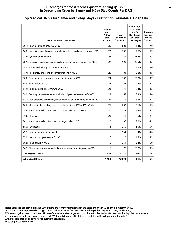## **Top Medical DRGs for Same- and 1-Day Stays - District of Columbia, 6 Hospitals**

| <b>DRG Code and Description</b>                                                | Same-<br>and<br>1-Day<br>Stay<br>Count* | <b>Total</b><br><b>Discharges</b><br>for DRG* | Proportion<br>of Same-<br>and $1-$<br>Day Stays<br>to Total<br><b>Discharges</b> | Average<br>Length<br>of Stay<br>for DRG |
|--------------------------------------------------------------------------------|-----------------------------------------|-----------------------------------------------|----------------------------------------------------------------------------------|-----------------------------------------|
| 291 : Heart failure and shock w MCC                                            | 35                                      | 803                                           | 4.4%                                                                             | 7.0                                     |
| 640 : Misc disorders of nutrition, metabolism, fluids and electrolytes w MCC   | 29                                      | 305                                           | 9.5%                                                                             | 5.7                                     |
| 312 : Syncope and collapse                                                     | 28                                      | 131                                           | 21.4%                                                                            | 3.8                                     |
| 287 : Circulatory disorders except AMI, w cardiac catheterization w/o MCC      | 27                                      | 120                                           | 22.5%                                                                            | 4.3                                     |
| 690 : Kidney and urinary tract infections w/o MCC                              | 26                                      | 176                                           | 14.8%                                                                            | 4.0                                     |
| 177 : Respiratory infections and inflammations w MCC                           | 25                                      | 483                                           | 5.2%                                                                             | 8.5                                     |
| 309 : Cardiac arrhythmia and conduction disorders w CC                         | 24                                      | 108                                           | 22.2%                                                                            | 3.7                                     |
| 683 : Renal failure w CC                                                       | 24                                      | 255                                           | 9.4%                                                                             | 4.7                                     |
| 812 : Red blood cell disorders w/o MCC                                         | 23                                      | 172                                           | 13.4%                                                                            | 4.3                                     |
| 392 : Esophagitis, gastroenteritis and misc digestive disorders w/o MCC        | 22                                      | 165                                           | 13.3%                                                                            | 4.0                                     |
| 641 : Misc disorders of nutrition, metabolism, fluids and electrolytes w/o MCC | 22                                      | 145                                           | 15.2%                                                                            | 4.1                                     |
| 065 : Intracranial hemorrhage or cerebral infarction w CC or tPA in 24 hours   | 21                                      | 208                                           | 10.1%                                                                            | 5.5                                     |
| 282 : Acute myocardial infarction, discharged alive w/o CC/MCC                 | 20                                      | 45                                            | 44.4%                                                                            | 2.4                                     |
| 313 : Chest pain                                                               | 20                                      | 42                                            | 47.6%                                                                            | 2.1                                     |
| 281 : Acute myocardial infarction, discharged alive w CC                       | 19                                      | 106                                           | 17.9%                                                                            | 4.1                                     |
| 885: Psychoses                                                                 | 18                                      | 259                                           | 6.9%                                                                             | 5.6                                     |
| 292 : Heart failure and shock w CC                                             | 16                                      | 154                                           | 10.4%                                                                            | 4.6                                     |
| 552 : Medical back problems w/o MCC                                            | 16                                      | 110                                           | 14.5%                                                                            | 4.3                                     |
| 682 : Renal failure w MCC                                                      | 16                                      | 251                                           | 6.4%                                                                             | 6.9                                     |
| 847 : Chemotherapy w/o acute leukemia as secondary diagnosis w CC              | 16                                      | 77                                            | 20.8%                                                                            | 3.9                                     |
| <b>Top Medical DRGs</b>                                                        | 447                                     | 4.115                                         | 10.9%                                                                            | 5.6                                     |
| <b>All Medical DRGs</b>                                                        | 1,150                                   | 13,699                                        | 8.4%                                                                             | 6.6                                     |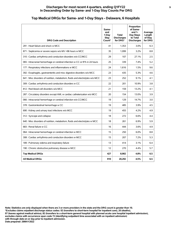#### **Discharges for most recent 4 quarters, ending Q1FY22 9 In Descending Order by Same- and 1-Day Stay Counts Per DRG**

| <b>DRG Code and Description</b>                                                | Same-<br>and<br>1-Dav<br>Stav<br>Count* | <b>Total</b><br><b>Discharges</b><br>for DRG* | Proportion<br>of Same-<br>and $1-$<br>Day Stays<br>to Total<br><b>Discharges</b> | Average<br>Length<br>of Stay<br>for DRG |
|--------------------------------------------------------------------------------|-----------------------------------------|-----------------------------------------------|----------------------------------------------------------------------------------|-----------------------------------------|
| 291 : Heart failure and shock w MCC                                            | 41                                      | 1.353                                         | 3.0%                                                                             | 6.3                                     |
| 871 : Septicemia or severe sepsis w/o MV >96 hours w MCC                       | 35                                      | 1,099                                         | 3.2%                                                                             | 8.8                                     |
| 310 : Cardiac arrhythmia and conduction disorders w/o CC/MCC                   | 29                                      | 107                                           | 27.1%                                                                            | 2.5                                     |
| 065 : Intracranial hemorrhage or cerebral infarction w CC or tPA in 24 hours   | 25                                      | 339                                           | 7.4%                                                                             | 5.2                                     |
| 177 : Respiratory infections and inflammations w MCC                           | 24                                      | 1.616                                         | 1.5%                                                                             | 9.6                                     |
| 392 : Esophagitis, gastroenteritis and misc digestive disorders w/o MCC        | 23                                      | 435                                           | 5.3%                                                                             | 4.6                                     |
| 641 : Misc disorders of nutrition, metabolism, fluids and electrolytes w/o MCC | 23                                      | 252                                           | 9.1%                                                                             | 4.1                                     |
| 309 : Cardiac arrhythmia and conduction disorders w CC                         | 22                                      | 201                                           | 10.9%                                                                            | 3.8                                     |
| 812 : Red blood cell disorders w/o MCC                                         | 21                                      | 159                                           | 13.2%                                                                            | 4.1                                     |
| 287 : Circulatory disorders except AMI, w cardiac catheterization w/o MCC      | 20                                      | 154                                           | 13.0%                                                                            | 3.9                                     |
| 066 : Intracranial hemorrhage or cerebral infarction w/o CC/MCC                | 19                                      | 129                                           | 14.7%                                                                            | 3.0                                     |
| 378 : Gastrointestinal hemorrhage w CC                                         | 19                                      | 485                                           | 3.9%                                                                             | 4.5                                     |
| 690 : Kidney and urinary tract infections w/o MCC                              | 19                                      | 455                                           | 4.2%                                                                             | 4.9                                     |
| 312 : Syncope and collapse                                                     | 18                                      | 272                                           | 6.6%                                                                             | 4.4                                     |
| 640 : Misc disorders of nutrition, metabolism, fluids and electrolytes w MCC   | 18                                      | 261                                           | 6.9%                                                                             | 5.9                                     |
| 683 : Renal failure w CC                                                       | 16                                      | 444                                           | 3.6%                                                                             | 4.9                                     |
| 064 : Intracranial hemorrhage or cerebral infarction w MCC                     | 15                                      | 250                                           | 6.0%                                                                             | 8.8                                     |
| 308 : Cardiac arrhythmia and conduction disorders w MCC                        | 15                                      | 207                                           | 7.2%                                                                             | 5.3                                     |
| 189 : Pulmonary edema and respiratory failure                                  | 13                                      | 414                                           | 3.1%                                                                             | 6.4                                     |
| 190 : Chronic obstructive pulmonary disease w MCC                              | 12                                      | 270                                           | 4.4%                                                                             | 5.7                                     |
| <b>Top Medical DRGs</b>                                                        | 427                                     | 8,902                                         | 4.8%                                                                             | 6.5                                     |
| <b>All Medical DRGs</b>                                                        | 910                                     | 20,292                                        | 4.5%                                                                             | 6.5                                     |

## **Top Medical DRGs for Same- and 1-Day Stays - Delaware, 6 Hospitals**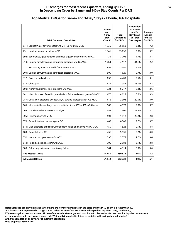#### **Discharges for most recent 4 quarters, ending Q1FY22 10 In Descending Order by Same- and 1-Day Stay Counts Per DRG**

#### **DRG Code and Description Sameand 1-Day Stay Count\* Total Discharges for DRG\* Proportion of Sameand 1- Day Stays to Total Discharges Average Length of Stay for DRG** 871 : Septicemia or severe sepsis w/o MV >96 hours w MCC  $\begin{array}{|c|c|c|c|c|c|c|c|c|} \hline & 1,335 & 35,550 & 3.8\% & 7.2 \hline \end{array}$ 291 : Heart failure and shock w MCC 1,141 1,141 19,696 5.8% 5.2 392 : Esophagitis, gastroenteritis and misc digestive disorders w/o MCC 1,130 7,702 14.7% 3.4 310 : Cardiac arrhythmia and conduction disorders w/o CC/MCC  $\begin{array}{|c|c|c|c|c|c|c|c|c|} \hline 3,117 & 34.1\% & 2.2 \\ \hline \end{array}$ 177 : Respiratory infections and inflammations w MCC 951 23,587 4.0% 7.1 309 : Cardiac arrhythmia and conduction disorders w CC 909 4,625 19.7% 3.0  $312:$  Syncope and collapse  $\begin{array}{|c|c|c|c|c|c|c|c|c|} \hline 3.12:$  Syncope and collapse  $\begin{array}{|c|c|c|c|c|c|c|c|c|} \hline 3.1 & 3.1 & 4.400 & 19.5\% \hline \end{array} \end{array}$ 313 : Chest pain 6 2.3 (2.354 2.364 1) 35.7% 2.3 690 : Kidney and urinary tract infections w/o MCC  $\begin{array}{|c|c|c|c|c|c|c|c|c|} \hline \end{array}$  734  $\begin{array}{|c|c|c|c|c|c|c|c|c|} \hline \end{array}$  6,747  $\begin{array}{|c|c|c|c|c|c|} \hline \end{array}$  3.6 641 : Misc disorders of nutrition, metabolism, fluids and electrolytes w/o MCC | 670 | 4,025 | 16.6% | 3.3 287 : Circulatory disorders except AMI, w cardiac catheterization w/o MCC 615 2,996 20.5% 3.0 065 : Intracranial hemorrhage or cerebral infarction w CC or tPA in 24 hours | 587 | 4,578 | 12.8% | 3.7 069 : Transient ischemia w/o thrombolytic 583 2,501 23.3% 2.7 305 : Hypertension w/o MCC 2.8 378 : Gastrointestinal hemorrhage w CC 1988 [2010] 483 6,308 [2012] 6,308 [2012] 7.7% [2013] 3.7 640 : Misc disorders of nutrition, metabolism, fluids and electrolytes w MCC 459 4,526 10.1% 4.8 683 : Renal failure w CC 683 : Renal failure w CC 683 : Renal failure w CC 683 : Renal failure w CC 65551 8.2% at  $\frac{4.0}{2}$ 552 : Medical back problems w/o MCC 352 : Medical back problems w/o MCC 3539 3396 3,375 11.7% 3.6 812 : Red blood cell disorders w/o MCC  $\begin{array}{|c|c|c|c|c|c|c|c|} \hline \end{array}$  390  $\begin{array}{|c|c|c|c|c|c|} \hline \end{array}$  3.8 189 : Pulmonary edema and respiratory failure 384 384 4,314 8.9% 5.0 **Top Medical DRGs 14,485 150,832 9.6% 5.2 All Medical DRGs 31,942 353,331 9.0% 5.1**

## **Top Medical DRGs for Same- and 1-Day Stays - Florida, 166 Hospitals**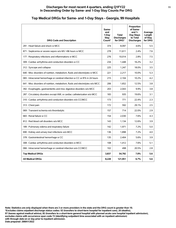#### **Discharges for most recent 4 quarters, ending Q1FY22 11 In Descending Order by Same- and 1-Day Stay Counts Per DRG**

| <b>DRG Code and Description</b>                                                | Same-<br>and<br>1-Dav<br><b>Stay</b><br>Count* | <b>Total</b><br><b>Discharges</b><br>for DRG* | Proportion<br>of Same-<br>and $1-$<br>Day Stays<br>to Total<br><b>Discharges</b> | Average<br>Length<br>of Stay<br>for DRG |
|--------------------------------------------------------------------------------|------------------------------------------------|-----------------------------------------------|----------------------------------------------------------------------------------|-----------------------------------------|
| 291 : Heart failure and shock w MCC                                            | 374                                            | 8.097                                         | 4.6%                                                                             | 5.5                                     |
| 871 : Septicemia or severe sepsis w/o MV >96 hours w MCC                       | 278                                            | 11,611                                        | 2.4%                                                                             | 7.6                                     |
| 177 : Respiratory infections and inflammations w MCC                           | 276                                            | 10,014                                        | 2.8%                                                                             | 7.5                                     |
| 309 : Cardiac arrhythmia and conduction disorders w CC                         | 234                                            | 1,448                                         | 16.2%                                                                            | 3.2                                     |
| 312 : Syncope and collapse                                                     | 225                                            | 1,247                                         | 18.0%                                                                            | 3.5                                     |
| 640 : Misc disorders of nutrition, metabolism, fluids and electrolytes w MCC   | 221                                            | 2,217                                         | 10.0%                                                                            | 5.3                                     |
| 065 : Intracranial hemorrhage or cerebral infarction w CC or tPA in 24 hours   | 215                                            | 2,104                                         | 10.2%                                                                            | 4.2                                     |
| 641 : Misc disorders of nutrition, metabolism, fluids and electrolytes w/o MCC | 206                                            | 1.652                                         | 12.5%                                                                            | 3.8                                     |
| 392 : Esophagitis, gastroenteritis and misc digestive disorders w/o MCC        | 203                                            | 2,043                                         | 9.9%                                                                             | 3.8                                     |
| 287 : Circulatory disorders except AMI, w cardiac catheterization w/o MCC      | 183                                            | 935                                           | 19.6%                                                                            | 3.1                                     |
| 310 : Cardiac arrhythmia and conduction disorders w/o CC/MCC                   | 173                                            | 771                                           | 22.4%                                                                            | 2.3                                     |
| 313 : Chest pain                                                               | 172                                            | 592                                           | 29.1%                                                                            | 2.5                                     |
| 069 : Transient ischemia w/o thrombolytic                                      | 157                                            | 714                                           | 22.0%                                                                            | 2.9                                     |
| 683 : Renal failure w CC                                                       | 154                                            | 2,030                                         | 7.6%                                                                             | 4.3                                     |
| 812 : Red blood cell disorders w/o MCC                                         | 143                                            | 1,134                                         | 12.6%                                                                            | 3.9                                     |
| 189 : Pulmonary edema and respiratory failure                                  | 142                                            | 1,971                                         | 7.2%                                                                             | 5.0                                     |
| 690 : Kidney and urinary tract infections w/o MCC                              | 136                                            | 1,898                                         | 7.2%                                                                             | 4.0                                     |
| 378 : Gastrointestinal hemorrhage w CC                                         | 135                                            | 2,404                                         | 5.6%                                                                             | 3.9                                     |
| 308 : Cardiac arrhythmia and conduction disorders w MCC                        | 108                                            | 1,412                                         | 7.6%                                                                             | 5.1                                     |
| 066 : Intracranial hemorrhage or cerebral infarction w/o CC/MCC                | 102                                            | 498                                           | 20.5%                                                                            | 2.8                                     |
| <b>Top Medical DRGs</b>                                                        | 3.837                                          | 54,792                                        | 7.0%                                                                             | 5.6                                     |
| <b>All Medical DRGs</b>                                                        | 8,228                                          | 121,951                                       | 6.7%                                                                             | 5.6                                     |

## **Top Medical DRGs for Same- and 1-Day Stays - Georgia, 99 Hospitals**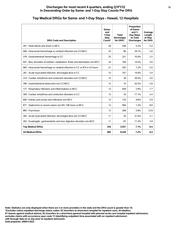#### **Discharges for most recent 4 quarters, ending Q1FY22 12 In Descending Order by Same- and 1-Day Stay Counts Per DRG**

| <b>DRG Code and Description</b>                                                | Same-<br>and<br>1-Day<br><b>Stav</b><br>Count* | Total<br><b>Discharges</b><br>for DRG* | Proportion<br>of Same-<br>and $1-$<br>Day Stays<br>to Total<br><b>Discharges</b> | Average<br>Length<br>of Stay<br>for DRG |
|--------------------------------------------------------------------------------|------------------------------------------------|----------------------------------------|----------------------------------------------------------------------------------|-----------------------------------------|
| 291 : Heart failure and shock w MCC                                            | 29                                             | 548                                    | 5.3%                                                                             | 5.4                                     |
| 066 : Intracranial hemorrhage or cerebral infarction w/o CC/MCC                | 25                                             | 86                                     | 29.1%                                                                            | 2.6                                     |
| 378 : Gastrointestinal hemorrhage w CC                                         | 25                                             | 251                                    | 10.0%                                                                            | 3.5                                     |
| 641 : Misc disorders of nutrition, metabolism, fluids and electrolytes w/o MCC | 24                                             | 166                                    | 14.5%                                                                            | 3.6                                     |
| 065 : Intracranial hemorrhage or cerebral infarction w CC or tPA in 24 hours   | 21                                             | 293                                    | 7.2%                                                                             | 5.0                                     |
| 281 : Acute myocardial infarction, discharged alive w CC                       | 15                                             | 107                                    | 14.0%                                                                            | 3.4                                     |
| 310 : Cardiac arrhythmia and conduction disorders w/o CC/MCC                   | 15                                             | 38                                     | 39.5%                                                                            | 2.6                                     |
| 390 : Gastrointestinal obstruction w/o CC/MCC                                  | 15                                             | 74                                     | 20.3%                                                                            | 2.8                                     |
| 177 : Respiratory infections and inflammations w MCC                           | 13                                             | 449                                    | 2.9%                                                                             | 7.7                                     |
| 309 : Cardiac arrhythmia and conduction disorders w CC                         | 13                                             | 76                                     | 17.1%                                                                            | 3.4                                     |
| 690 : Kidney and urinary tract infections w/o MCC                              | 13                                             | 135                                    | 9.6%                                                                             | 3.9                                     |
| 871 : Septicemia or severe sepsis w/o MV >96 hours w MCC                       | 12                                             | 994                                    | 1.2%                                                                             | 8.8                                     |
| 885: Psychoses                                                                 | 12                                             | 208                                    | 5.8%                                                                             | 12.8                                    |
| 282 : Acute myocardial infarction, discharged alive w/o CC/MCC                 | 11                                             | 35                                     | 31.4%                                                                            | 2.1                                     |
| 392 : Esophagitis, gastroenteritis and misc digestive disorders w/o MCC        | 11                                             | 97                                     | 11.3%                                                                            | 3.9                                     |
| <b>Top Medical DRGs</b>                                                        | 254                                            | 3,557                                  | 7.1%                                                                             | 6.4                                     |
| <b>All Medical DRGs</b>                                                        | 682                                            | 9.528                                  | 7.2%                                                                             | 6.4                                     |

## **Top Medical DRGs for Same- and 1-Day Stays - Hawaii, 12 Hospitals**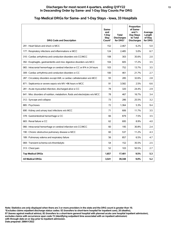#### **Discharges for most recent 4 quarters, ending Q1FY22 13 In Descending Order by Same- and 1-Day Stay Counts Per DRG**

| <b>DRG Code and Description</b>                                                | Same-<br>and<br>1-Day<br><b>Stay</b><br>Count* | <b>Total</b><br><b>Discharges</b><br>for DRG* | Proportion<br>of Same-<br>and $1-$<br>Day Stays<br>to Total<br><b>Discharges</b> | Average<br>Length<br>of Stav<br>for DRG |
|--------------------------------------------------------------------------------|------------------------------------------------|-----------------------------------------------|----------------------------------------------------------------------------------|-----------------------------------------|
| 291 : Heart failure and shock w MCC                                            | 152                                            | 2.467                                         | 6.2%                                                                             | 5.0                                     |
| 177 : Respiratory infections and inflammations w MCC                           | 124                                            | 2.485                                         | 5.0%                                                                             | 6.7                                     |
| 310 : Cardiac arrhythmia and conduction disorders w/o CC/MCC                   | 108                                            | 303                                           | 35.6%                                                                            | 2.0                                     |
| 392 : Esophagitis, gastroenteritis and misc digestive disorders w/o MCC        | 104                                            | 605                                           | 17.2%                                                                            | 3.5                                     |
| 065 : Intracranial hemorrhage or cerebral infarction w CC or tPA in 24 hours   | 103                                            | 752                                           | 13.7%                                                                            | 3.5                                     |
| 309 : Cardiac arrhythmia and conduction disorders w CC                         | 100                                            | 461                                           | 21.7%                                                                            | 2.7                                     |
| 287 : Circulatory disorders except AMI, w cardiac catheterization w/o MCC      | 93                                             | 285                                           | 32.6%                                                                            | 2.8                                     |
| 871 : Septicemia or severe sepsis w/o MV >96 hours w MCC                       | 91                                             | 3,582                                         | 2.5%                                                                             | 6.6                                     |
| 281 : Acute myocardial infarction, discharged alive w CC                       | 78                                             | 320                                           | 24.4%                                                                            | 2.9                                     |
| 641 : Misc disorders of nutrition, metabolism, fluids and electrolytes w/o MCC | 78                                             | 467                                           | 16.7%                                                                            | 3.4                                     |
| 312 : Syncope and collapse                                                     | 73                                             | 286                                           | 25.5%                                                                            | 3.2                                     |
| 885: Psychoses                                                                 | 72                                             | 1,364                                         | 5.3%                                                                             | 9.4                                     |
| 690 : Kidney and urinary tract infections w/o MCC                              | 71                                             | 606                                           | 11.7%                                                                            | 3.5                                     |
| 378 : Gastrointestinal hemorrhage w CC                                         | 66                                             | 879                                           | 7.5%                                                                             | 3.5                                     |
| 683 : Renal failure w CC                                                       | 62                                             | 695                                           | 8.9%                                                                             | 4.0                                     |
| 066 : Intracranial hemorrhage or cerebral infarction w/o CC/MCC                | 60                                             | 195                                           | 30.8%                                                                            | 2.4                                     |
| 190 : Chronic obstructive pulmonary disease w MCC                              | 60                                             | 537                                           | 11.2%                                                                            | 4.3                                     |
| 189 : Pulmonary edema and respiratory failure                                  | 56                                             | 857                                           | 6.5%                                                                             | 4.7                                     |
| 069 : Transient ischemia w/o thrombolytic                                      | 54                                             | 152                                           | 35.5%                                                                            | 2.5                                     |
| 313 : Chest pain                                                               | 52                                             | 103                                           | 50.5%                                                                            | 2.7                                     |
| <b>Top Medical DRGs</b>                                                        | 1,657                                          | 17,401                                        | 9.5%                                                                             | 5.3                                     |
| <b>All Medical DRGs</b>                                                        | 3,541                                          | 39,348                                        | 9.0%                                                                             | 5.2                                     |

## **Top Medical DRGs for Same- and 1-Day Stays - Iowa, 33 Hospitals**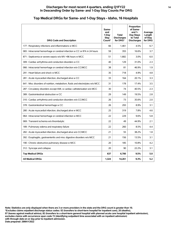| <b>DRG Code and Description</b>                                                | Same-<br>and<br>1-Day<br>Stay<br>Count* | <b>Total</b><br><b>Discharges</b><br>for DRG* | Proportion<br>of Same-<br>and $1-$<br>Day Stays<br>to Total<br><b>Discharges</b> | Average<br>Length<br>of Stay<br>for DRG |
|--------------------------------------------------------------------------------|-----------------------------------------|-----------------------------------------------|----------------------------------------------------------------------------------|-----------------------------------------|
| 177 : Respiratory infections and inflammations w MCC                           | 66                                      | 1,461                                         | 4.5%                                                                             | 6.7                                     |
| 065 : Intracranial hemorrhage or cerebral infarction w CC or tPA in 24 hours   | 59                                      | 355                                           | 16.6%                                                                            | 3.7                                     |
| 871 : Septicemia or severe sepsis w/o MV >96 hours w MCC                       | 51                                      | 1,682                                         | 3.0%                                                                             | 6.0                                     |
| 309 : Cardiac arrhythmia and conduction disorders w CC                         | 40                                      | 129                                           | 31.0%                                                                            | 2.3                                     |
| 066 : Intracranial hemorrhage or cerebral infarction w/o CC/MCC                | 38                                      | 81                                            | 46.9%                                                                            | 1.9                                     |
| 291 : Heart failure and shock w MCC                                            | 35                                      | 718                                           | 4.9%                                                                             | 4.8                                     |
| 281 : Acute myocardial infarction, discharged alive w CC                       | 33                                      | 164                                           | 20.1%                                                                            | 3.3                                     |
| 641 : Misc disorders of nutrition, metabolism, fluids and electrolytes w/o MCC | 31                                      | 178                                           | 17.4%                                                                            | 3.5                                     |
| 287 : Circulatory disorders except AMI, w cardiac catheterization w/o MCC      | 30                                      | 74                                            | 40.5%                                                                            | 2.3                                     |
| 389 : Gastrointestinal obstruction w CC                                        | 29                                      | 149                                           | 19.5%                                                                            | 2.8                                     |
| 310 : Cardiac arrhythmia and conduction disorders w/o CC/MCC                   | 26                                      | 73                                            | 35.6%                                                                            | 2.0                                     |
| 378 : Gastrointestinal hemorrhage w CC                                         | 26                                      | 293                                           | 8.9%                                                                             | 3.1                                     |
| 280 : Acute myocardial infarction, discharged alive w MCC                      | 25                                      | 319                                           | 7.8%                                                                             | 4.6                                     |
| 064 : Intracranial hemorrhage or cerebral infarction w MCC                     | 22                                      | 229                                           | 9.6%                                                                             | 5.8                                     |
| 069 : Transient ischemia w/o thrombolytic                                      | 22                                      | 49                                            | 44.9%                                                                            | 2.1                                     |
| 189 : Pulmonary edema and respiratory failure                                  | 22                                      | 260                                           | 8.5%                                                                             | 4.4                                     |
| 282 : Acute myocardial infarction, discharged alive w/o CC/MCC                 | 21                                      | 55                                            | 38.2%                                                                            | 1.8                                     |
| 392 : Esophagitis, gastroenteritis and misc digestive disorders w/o MCC        | 21                                      | 156                                           | 13.5%                                                                            | 3.1                                     |
| 190 : Chronic obstructive pulmonary disease w MCC                              | 20                                      | 185                                           | 10.8%                                                                            | 4.2                                     |
| 312 : Syncope and collapse                                                     | 20                                      | 90                                            | 22.2%                                                                            | 3.1                                     |
| <b>Top Medical DRGs</b>                                                        | 637                                     | 6,700                                         | 9.5%                                                                             | 5.0                                     |
| <b>All Medical DRGs</b>                                                        | 1,324                                   | 14,261                                        | 9.3%                                                                             | 5.2                                     |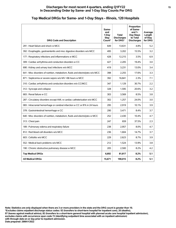| <b>DRG Code and Description</b>                                                | Same-<br>and<br>1-Dav<br>Stav<br>Count* | <b>Total</b><br><b>Discharges</b><br>for DRG* | Proportion<br>of Same-<br>and $1-$<br>Day Stays<br>to Total<br><b>Discharges</b> | Average<br>Length<br>of Stay<br>for DRG |
|--------------------------------------------------------------------------------|-----------------------------------------|-----------------------------------------------|----------------------------------------------------------------------------------|-----------------------------------------|
| 291 : Heart failure and shock w MCC                                            | 649                                     | 13,631                                        | 4.8%                                                                             | 5.2                                     |
| 392 : Esophagitis, gastroenteritis and misc digestive disorders w/o MCC        | 495                                     | 3.202                                         | 15.5%                                                                            | 3.2                                     |
| 177 : Respiratory infections and inflammations w MCC                           | 428                                     | 12,215                                        | 3.5%                                                                             | 6.9                                     |
| 309 : Cardiac arrhythmia and conduction disorders w CC                         | 427                                     | 2,205                                         | 19.4%                                                                            | 3.0                                     |
| 690 : Kidney and urinary tract infections w/o MCC                              | 419                                     | 3,231                                         | 13.0%                                                                            | 3.4                                     |
| 641 : Misc disorders of nutrition, metabolism, fluids and electrolytes w/o MCC | 398                                     | 2,255                                         | 17.6%                                                                            | 3.3                                     |
| 871 : Septicemia or severe sepsis w/o MV >96 hours w MCC                       | 392                                     | 16,841                                        | 2.3%                                                                             | 7.1                                     |
| 310 : Cardiac arrhythmia and conduction disorders w/o CC/MCC                   | 347                                     | 1.129                                         | 30.7%                                                                            | 2.2                                     |
| 312 : Syncope and collapse                                                     | 328                                     | 1,595                                         | 20.6%                                                                            | 3.2                                     |
| 683 : Renal failure w CC                                                       | 303                                     | 3,569                                         | 8.5%                                                                             | 3.8                                     |
| 287 : Circulatory disorders except AMI, w cardiac catheterization w/o MCC      | 302                                     | 1,257                                         | 24.0%                                                                            | 3.0                                     |
| 065 : Intracranial hemorrhage or cerebral infarction w CC or tPA in 24 hours   | 295                                     | 2,919                                         | 10.1%                                                                            | 3.9                                     |
| 378 : Gastrointestinal hemorrhage w CC                                         | 290                                     | 3.471                                         | 8.4%                                                                             | 3.7                                     |
| 640 : Misc disorders of nutrition, metabolism, fluids and electrolytes w MCC   | 252                                     | 2,430                                         | 10.4%                                                                            | 4.7                                     |
| 313 : Chest pain                                                               | 247                                     | 659                                           | 37.5%                                                                            | 2.3                                     |
| 189 : Pulmonary edema and respiratory failure                                  | 238                                     | 2,957                                         | 8.0%                                                                             | 4.7                                     |
| 812 : Red blood cell disorders w/o MCC                                         | 236                                     | 1,604                                         | 14.7%                                                                            | 3.7                                     |
| 603 : Cellulitis w/o MCC                                                       | 229                                     | 2,623                                         | 8.7%                                                                             | 3.9                                     |
| 552 : Medical back problems w/o MCC                                            | 212                                     | 1,524                                         | 13.9%                                                                            | 3.8                                     |
| 190 : Chronic obstructive pulmonary disease w MCC                              | 205                                     | 2,500                                         | 8.2%                                                                             | 4.2                                     |
| <b>Top Medical DRGs</b>                                                        | 6,692                                   | 81,817                                        | 8.2%                                                                             | 5.1                                     |
| <b>All Medical DRGs</b>                                                        | 15,671                                  | 190,015                                       | 8.2%                                                                             | 5.1                                     |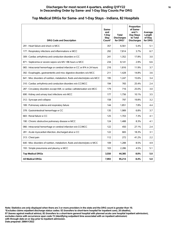#### **Discharges for most recent 4 quarters, ending Q1FY22 16 In Descending Order by Same- and 1-Day Stay Counts Per DRG**

| <b>DRG Code and Description</b>                                                | Same-<br>and<br>1-Dav<br>Stav<br>Count* | <b>Total</b><br><b>Discharges</b><br>for DRG* | Proportion<br>of Same-<br>and $1-$<br>Day Stays<br>to Total<br><b>Discharges</b> | Average<br>Length<br>of Stay<br>for DRG |
|--------------------------------------------------------------------------------|-----------------------------------------|-----------------------------------------------|----------------------------------------------------------------------------------|-----------------------------------------|
| 291 : Heart failure and shock w MCC                                            | 357                                     | 6,561                                         | 5.4%                                                                             | 5.1                                     |
| 177 : Respiratory infections and inflammations w MCC                           | 292                                     | 7,814                                         | 3.7%                                                                             | 6.7                                     |
| 309 : Cardiac arrhythmia and conduction disorders w CC                         | 241                                     | 1,352                                         | 17.8%                                                                            | 3.0                                     |
| 871 : Septicemia or severe sepsis w/o MV >96 hours w MCC                       | 234                                     | 8,141                                         | 2.9%                                                                             | 6.6                                     |
| 065 : Intracranial hemorrhage or cerebral infarction w CC or tPA in 24 hours   | 216                                     | 1,816                                         | 11.9%                                                                            | 3.7                                     |
| 392 : Esophagitis, gastroenteritis and misc digestive disorders w/o MCC        | 211                                     | 1,428                                         | 14.8%                                                                            | 3.6                                     |
| 641 : Misc disorders of nutrition, metabolism, fluids and electrolytes w/o MCC | 195                                     | 1,247                                         | 15.6%                                                                            | 3.4                                     |
| 310 : Cardiac arrhythmia and conduction disorders w/o CC/MCC                   | 194                                     | 765                                           | 25.4%                                                                            | 2.4                                     |
| 287 : Circulatory disorders except AMI, w cardiac catheterization w/o MCC      | 179                                     | 716                                           | 25.0%                                                                            | 3.0                                     |
| 690 : Kidney and urinary tract infections w/o MCC                              | 177                                     | 1,756                                         | 10.1%                                                                            | 3.5                                     |
| 312 : Syncope and collapse                                                     | 158                                     | 797                                           | 19.8%                                                                            | 3.2                                     |
| 189 : Pulmonary edema and respiratory failure                                  | 144                                     | 1,851                                         | 7.8%                                                                             | 4.4                                     |
| 378 : Gastrointestinal hemorrhage w CC                                         | 135                                     | 1,989                                         | 6.8%                                                                             | 3.7                                     |
| 683 : Renal failure w CC                                                       | 125                                     | 1,703                                         | 7.3%                                                                             | 4.1                                     |
| 190 : Chronic obstructive pulmonary disease w MCC                              | 124                                     | 1,488                                         | 8.3%                                                                             | 4.1                                     |
| 066 : Intracranial hemorrhage or cerebral infarction w/o CC/MCC                | 122                                     | 450                                           | 27.1%                                                                            | 2.4                                     |
| 281 : Acute myocardial infarction, discharged alive w CC                       | 122                                     | 665                                           | 18.3%                                                                            | 3.1                                     |
| 313 : Chest pain                                                               | 112                                     | 272                                           | 41.2%                                                                            | 2.2                                     |
| 640 : Misc disorders of nutrition, metabolism, fluids and electrolytes w MCC   | 109                                     | 1,288                                         | 8.5%                                                                             | 4.9                                     |
| 193 : Simple pneumonia and pleurisy w MCC                                      | 103                                     | 2,286                                         | 4.5%                                                                             | 5.1                                     |
| <b>Top Medical DRGs</b>                                                        | 3,550                                   | 44,385                                        | 8.0%                                                                             | 5.0                                     |
| <b>All Medical DRGs</b>                                                        | 7,993                                   | 95,214                                        | 8.4%                                                                             | 5.0                                     |

## **Top Medical DRGs for Same- and 1-Day Stays - Indiana, 82 Hospitals**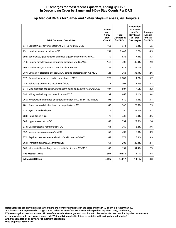| <b>DRG Code and Description</b>                                                | Same-<br>and<br>1-Dav<br>Stav<br>Count* | Total<br><b>Discharges</b><br>for DRG* | Proportion<br>of Same-<br>and $1-$<br>Day Stays<br>to Total<br><b>Discharges</b> | Average<br>Length<br>of Stay<br>for DRG |
|--------------------------------------------------------------------------------|-----------------------------------------|----------------------------------------|----------------------------------------------------------------------------------|-----------------------------------------|
| 871 : Septicemia or severe sepsis w/o MV >96 hours w MCC                       | 163                                     | 4,974                                  | 3.3%                                                                             | 6.5                                     |
| 291 : Heart failure and shock w MCC                                            | 151                                     | 2,448                                  | 6.2%                                                                             | 4.9                                     |
| 392 : Esophagitis, gastroenteritis and misc digestive disorders w/o MCC        | 149                                     | 835                                    | 17.8%                                                                            | 3.3                                     |
| 310 : Cardiac arrhythmia and conduction disorders w/o CC/MCC                   | 142                                     | 402                                    | 35.3%                                                                            | 2.0                                     |
| 309 : Cardiac arrhythmia and conduction disorders w CC                         | 135                                     | 612                                    | 22.1%                                                                            | 2.7                                     |
| 287 : Circulatory disorders except AMI, w cardiac catheterization w/o MCC      | 123                                     | 363                                    | 33.9%                                                                            | 2.6                                     |
| 177 : Respiratory infections and inflammations w MCC                           | 120                                     | 2,888                                  | 4.2%                                                                             | 6.7                                     |
| 189 : Pulmonary edema and respiratory failure                                  | 114                                     | 1,005                                  | 11.3%                                                                            | 4.3                                     |
| 641 : Misc disorders of nutrition, metabolism, fluids and electrolytes w/o MCC | 107                                     | 607                                    | 17.6%                                                                            | 3.2                                     |
| 690 : Kidney and urinary tract infections w/o MCC                              | 94                                      | 665                                    | 14.1%                                                                            | 3.4                                     |
| 065 : Intracranial hemorrhage or cerebral infarction w CC or tPA in 24 hours   | 93                                      | 649                                    | 14.3%                                                                            | 3.4                                     |
| 281 : Acute myocardial infarction, discharged alive w CC                       | 80                                      | 348                                    | 23.0%                                                                            | 2.9                                     |
| 312 : Syncope and collapse                                                     | 77                                      | 350                                    | 22.0%                                                                            | 3.1                                     |
| 683 : Renal failure w CC                                                       | 72                                      | 732                                    | 9.8%                                                                             | 3.6                                     |
| 305 : Hypertension w/o MCC                                                     | 69                                      | 234                                    | 29.5%                                                                            | 2.6                                     |
| 378 : Gastrointestinal hemorrhage w CC                                         | 63                                      | 769                                    | 8.2%                                                                             | 3.6                                     |
| 552 : Medical back problems w/o MCC                                            | 63                                      | 493                                    | 12.8%                                                                            | 3.9                                     |
| 872 : Septicemia or severe sepsis w/o MV >96 hours w/o MCC                     | 62                                      | 1.072                                  | 5.8%                                                                             | 3.9                                     |
| 069 : Transient ischemia w/o thrombolytic                                      | 61                                      | 208                                    | 29.3%                                                                            | 2.4                                     |
| 066 : Intracranial hemorrhage or cerebral infarction w/o CC/MCC                | 60                                      | 191                                    | 31.4%                                                                            | 2.3                                     |
| <b>Top Medical DRGs</b>                                                        | 1,998                                   | 19,845                                 | 10.1%                                                                            | 4.8                                     |
| <b>All Medical DRGs</b>                                                        | 4,505                                   | 44,617                                 | 10.1%                                                                            | 4.8                                     |

#### **Top Medical DRGs for Same- and 1-Day Stays - Kansas, 49 Hospitals**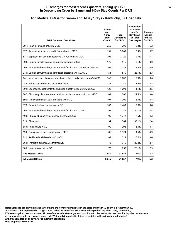#### **Discharges for most recent 4 quarters, ending Q1FY22 18 In Descending Order by Same- and 1-Day Stay Counts Per DRG**

| <b>DRG Code and Description</b>                                                | Same-<br>and<br>1-Day<br><b>Stay</b><br>Count* | <b>Total</b><br><b>Discharges</b><br>for DRG* | Proportion<br>of Same-<br>and $1-$<br>Day Stays<br>to Total<br><b>Discharges</b> | Average<br>Length<br>of Stay<br>for DRG |
|--------------------------------------------------------------------------------|------------------------------------------------|-----------------------------------------------|----------------------------------------------------------------------------------|-----------------------------------------|
| 291 : Heart failure and shock w MCC                                            | 250                                            | 4.706                                         | 5.3%                                                                             | 5.2                                     |
| 177 : Respiratory infections and inflammations w MCC                           | 191                                            | 5,663                                         | 3.4%                                                                             | 6.7                                     |
| 871 : Septicemia or severe sepsis w/o MV >96 hours w MCC                       | 191                                            | 7,120                                         | 2.7%                                                                             | 7.1                                     |
| 309 : Cardiac arrhythmia and conduction disorders w CC                         | 175                                            | 915                                           | 19.1%                                                                            | 3.0                                     |
| 065 : Intracranial hemorrhage or cerebral infarction w CC or tPA in 24 hours   | 165                                            | 1,333                                         | 12.4%                                                                            | 3.9                                     |
| 310 : Cardiac arrhythmia and conduction disorders w/o CC/MCC                   | 154                                            | 549                                           | 28.1%                                                                            | 2.3                                     |
| 641 : Misc disorders of nutrition, metabolism, fluids and electrolytes w/o MCC | 140                                            | 1.007                                         | 13.9%                                                                            | 3.6                                     |
| 189 : Pulmonary edema and respiratory failure                                  | 132                                            | 1.741                                         | 7.6%                                                                             | 4.8                                     |
| 392 : Esophagitis, gastroenteritis and misc digestive disorders w/o MCC        | 122                                            | 1,098                                         | 11.1%                                                                            | 3.5                                     |
| 287 : Circulatory disorders except AMI, w cardiac catheterization w/o MCC      | 109                                            | 508                                           | 21.5%                                                                            | 3.0                                     |
| 690 : Kidney and urinary tract infections w/o MCC                              | 107                                            | 1,200                                         | 8.9%                                                                             | 3.8                                     |
| 378 : Gastrointestinal hemorrhage w CC                                         | 103                                            | 1,409                                         | 7.3%                                                                             | 3.8                                     |
| 066 : Intracranial hemorrhage or cerebral infarction w/o CC/MCC                | 99                                             | 329                                           | 30.1%                                                                            | 2.4                                     |
| 190 : Chronic obstructive pulmonary disease w MCC                              | 95                                             | 1.272                                         | 7.5%                                                                             | 4.3                                     |
| 313 : Chest pain                                                               | 94                                             | 284                                           | 33.1%                                                                            | 2.4                                     |
| 683 : Renal failure w CC                                                       | 90                                             | 1,296                                         | 6.9%                                                                             | 4.1                                     |
| 193 : Simple pneumonia and pleurisy w MCC                                      | 86                                             | 1,924                                         | 4.5%                                                                             | 4.9                                     |
| 812 : Red blood cell disorders w/o MCC                                         | 82                                             | 524                                           | 15.6%                                                                            | 3.6                                     |
| 069 : Transient ischemia w/o thrombolytic                                      | 78                                             | 310                                           | 25.2%                                                                            | 2.7                                     |
| 305 : Hypertension w/o MCC                                                     | 78                                             | 299                                           | 26.1%                                                                            | 2.9                                     |
| <b>Top Medical DRGs</b>                                                        | 2,541                                          | 33,487                                        | 7.6%                                                                             | 5.2                                     |
| <b>All Medical DRGs</b>                                                        | 5,645                                          | 71,657                                        | 7.9%                                                                             | 5.2                                     |

## **Top Medical DRGs for Same- and 1-Day Stays - Kentucky, 62 Hospitals**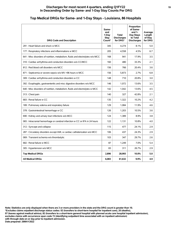| <b>DRG Code and Description</b>                                                | Same-<br>and<br>1-Day<br><b>Stay</b><br>Count* | <b>Total</b><br><b>Discharges</b><br>for DRG* | Proportion<br>of Same-<br>and $1-$<br>Day Stays<br>to Total<br><b>Discharges</b> | Average<br>Length<br>of Stay<br>for DRG |
|--------------------------------------------------------------------------------|------------------------------------------------|-----------------------------------------------|----------------------------------------------------------------------------------|-----------------------------------------|
| 291 : Heart failure and shock w MCC                                            | 345                                            | 4,274                                         | 8.1%                                                                             | 5.0                                     |
| 177 : Respiratory infections and inflammations w MCC                           | 205                                            | 4.558                                         | 4.5%                                                                             | 6.7                                     |
| 641 : Misc disorders of nutrition, metabolism, fluids and electrolytes w/o MCC | 168                                            | 941                                           | 17.9%                                                                            | 3.5                                     |
| 310 : Cardiac arrhythmia and conduction disorders w/o CC/MCC                   | 160                                            | 480                                           | 33.3%                                                                            | 2.1                                     |
| 812 : Red blood cell disorders w/o MCC                                         | 156                                            | 766                                           | 20.4%                                                                            | 3.6                                     |
| 871 : Septicemia or severe sepsis w/o MV >96 hours w MCC                       | 156                                            | 5.873                                         | 2.7%                                                                             | 6.8                                     |
| 309 : Cardiac arrhythmia and conduction disorders w CC                         | 148                                            | 710                                           | 20.8%                                                                            | 3.0                                     |
| 392 : Esophagitis, gastroenteritis and misc digestive disorders w/o MCC        | 146                                            | 1,072                                         | 13.6%                                                                            | 3.5                                     |
| 640 : Misc disorders of nutrition, metabolism, fluids and electrolytes w MCC   | 142                                            | 1,042                                         | 13.6%                                                                            | 4.5                                     |
| 313 : Chest pain                                                               | 140                                            | 327                                           | 42.8%                                                                            | 2.1                                     |
| 683 : Renal failure w CC                                                       | 135                                            | 1,322                                         | 10.2%                                                                            | 4.2                                     |
| 189 : Pulmonary edema and respiratory failure                                  | 129                                            | 1.084                                         | 11.9%                                                                            | 4.6                                     |
| 378 : Gastrointestinal hemorrhage w CC                                         | 126                                            | 1,203                                         | 10.5%                                                                            | 3.6                                     |
| 690 : Kidney and urinary tract infections w/o MCC                              | 124                                            | 1,389                                         | 8.9%                                                                             | 3.8                                     |
| 065 : Intracranial hemorrhage or cerebral infarction w CC or tPA in 24 hours   | 122                                            | 1,131                                         | 10.8%                                                                            | 4.0                                     |
| 312 : Syncope and collapse                                                     | 115                                            | 477                                           | 24.1%                                                                            | 2.9                                     |
| 287 : Circulatory disorders except AMI, w cardiac catheterization w/o MCC      | 106                                            | 437                                           | 24.3%                                                                            | 2.9                                     |
| 069 : Transient ischemia w/o thrombolytic                                      | 103                                            | 347                                           | 29.7%                                                                            | 2.6                                     |
| 682 : Renal failure w MCC                                                      | 87                                             | 1,249                                         | 7.0%                                                                             | 5.4                                     |
| 305 : Hypertension w/o MCC                                                     | 83                                             | 311                                           | 26.7%                                                                            | 2.9                                     |
| <b>Top Medical DRGs</b>                                                        | 2,896                                          | 28,993                                        | 10.0%                                                                            | 5.0                                     |
| <b>All Medical DRGs</b>                                                        | 6,083                                          | 61,632                                        | 9.9%                                                                             | 4.9                                     |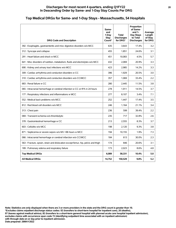#### **Discharges for most recent 4 quarters, ending Q1FY22 20 In Descending Order by Same- and 1-Day Stay Counts Per DRG**

## **Top Medical DRGs for Same- and 1-Day Stays - Massachusetts, 54 Hospitals**

| <b>DRG Code and Description</b>                                                    | Same-<br>and<br>1-Day<br>Stay<br>Count* | <b>Total</b><br><b>Discharges</b><br>for DRG* | Proportion<br>of Same-<br>and $1-$<br>Day Stays<br>to Total<br><b>Discharges</b> | Average<br>Length<br>of Stay<br>for DRG |
|------------------------------------------------------------------------------------|-----------------------------------------|-----------------------------------------------|----------------------------------------------------------------------------------|-----------------------------------------|
| 392 : Esophagitis, gastroenteritis and misc digestive disorders w/o MCC            | 635                                     | 3,643                                         | 17.4%                                                                            | 3.2                                     |
| 312 : Syncope and collapse                                                         | 455                                     | 1.851                                         | 24.6%                                                                            | 3.1                                     |
| 291 : Heart failure and shock w MCC                                                | 451                                     | 10,083                                        | 4.5%                                                                             | 5.7                                     |
| 641 : Misc disorders of nutrition, metabolism, fluids and electrolytes w/o MCC     | 432                                     | 2.069                                         | 20.9%                                                                            | 3.3                                     |
| 690 : Kidney and urinary tract infections w/o MCC                                  | 423                                     | 2.985                                         | 14.2%                                                                            | 3.3                                     |
| 309 : Cardiac arrhythmia and conduction disorders w CC                             | 396                                     | 1,929                                         | 20.5%                                                                            | 3.0                                     |
| 310 : Cardiac arrhythmia and conduction disorders w/o CC/MCC                       | 357                                     | 1.069                                         | 33.4%                                                                            | 2.2                                     |
| 683 : Renal failure w CC                                                           | 280                                     | 2,445                                         | 11.5%                                                                            | 3.8                                     |
| 065 : Intracranial hemorrhage or cerebral infarction w CC or tPA in 24 hours       | 278                                     | 1,911                                         | 14.5%                                                                            | 3.7                                     |
| 177 : Respiratory infections and inflammations w MCC                               | 277                                     | 8,107                                         | 3.4%                                                                             | 7.1                                     |
| 552 : Medical back problems w/o MCC                                                | 252                                     | 1,447                                         | 17.4%                                                                            | 3.5                                     |
| 812 : Red blood cell disorders w/o MCC                                             | 246                                     | 1,164                                         | 21.1%                                                                            | 3.4                                     |
| 313 : Chest pain                                                                   | 236                                     | 599                                           | 39.4%                                                                            | 2.2                                     |
| 069 : Transient ischemia w/o thrombolytic                                          | 235                                     | 717                                           | 32.8%                                                                            | 2.6                                     |
| 378 : Gastrointestinal hemorrhage w CC                                             | 213                                     | 2,555                                         | 8.3%                                                                             | 3.7                                     |
| 603 : Cellulitis w/o MCC                                                           | 198                                     | 2.120                                         | 9.3%                                                                             | 3.8                                     |
| 871 : Septicemia or severe sepsis w/o MV >96 hours w MCC                           | 194                                     | 10,155                                        | 1.9%                                                                             | 7.3                                     |
| 066 : Intracranial hemorrhage or cerebral infarction w/o CC/MCC                    | 184                                     | 613                                           | 30.0%                                                                            | 2.3                                     |
| 563 : Fracture, sprain, strain and dislocation except femur, hip, pelvis and thigh | 174                                     | 846                                           | 20.6%                                                                            | 3.1                                     |
| 189 : Pulmonary edema and respiratory failure                                      | 173                                     | 2,023                                         | 8.6%                                                                             | 4.8                                     |
| <b>Top Medical DRGs</b>                                                            | 6,089                                   | 58,331                                        | 10.4%                                                                            | 5.0                                     |
| <b>All Medical DRGs</b>                                                            | 14,752                                  | 150,529                                       | 9.8%                                                                             | 5.2                                     |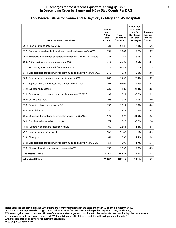#### **Discharges for most recent 4 quarters, ending Q1FY22 21 In Descending Order by Same- and 1-Day Stay Counts Per DRG**

## **Top Medical DRGs for Same- and 1-Day Stays - Maryland, 45 Hospitals**

| <b>DRG Code and Description</b>                                                | Same-<br>and<br>1-Dav<br>Stav<br>Count* | <b>Total</b><br><b>Discharges</b><br>for DRG* | Proportion<br>of Same-<br>and $1-$<br>Day Stays<br>to Total<br><b>Discharges</b> | Average<br>Length<br>of Stay<br>for DRG |
|--------------------------------------------------------------------------------|-----------------------------------------|-----------------------------------------------|----------------------------------------------------------------------------------|-----------------------------------------|
| 291 : Heart failure and shock w MCC                                            | 433                                     | 5,581                                         | 7.8%                                                                             | 5.6                                     |
| 392 : Esophagitis, gastroenteritis and misc digestive disorders w/o MCC        | 351                                     | 1,988                                         | 17.7%                                                                            | 3.7                                     |
| 065 : Intracranial hemorrhage or cerebral infarction w CC or tPA in 24 hours   | 334                                     | 2,160                                         | 15.5%                                                                            | 4.2                                     |
| 690 : Kidney and urinary tract infections w/o MCC                              | 319                                     | 2,206                                         | 14.5%                                                                            | 3.7                                     |
| 177 : Respiratory infections and inflammations w MCC                           | 315                                     | 6.348                                         | 5.0%                                                                             | 7.5                                     |
| 641 : Misc disorders of nutrition, metabolism, fluids and electrolytes w/o MCC | 315                                     | 1,753                                         | 18.0%                                                                            | 3.8                                     |
| 309 : Cardiac arrhythmia and conduction disorders w CC                         | 282                                     | 1,207                                         | 23.4%                                                                            | 3.2                                     |
| 871 : Septicemia or severe sepsis w/o MV >96 hours w MCC                       | 265                                     | 9.400                                         | 2.8%                                                                             | 8.4                                     |
| 312 : Syncope and collapse                                                     | 239                                     | 980                                           | 24.4%                                                                            | 3.5                                     |
| 310 : Cardiac arrhythmia and conduction disorders w/o CC/MCC                   | 198                                     | 512                                           | 38.7%                                                                            | 2.1                                     |
| 603 : Cellulitis w/o MCC                                                       | 196                                     | 1,388                                         | 14.1%                                                                            | 4.0                                     |
| 378 : Gastrointestinal hemorrhage w CC                                         | 192                                     | 1.914                                         | 10.0%                                                                            | 4.0                                     |
| 683 : Renal failure w CC                                                       | 180                                     | 1,826                                         | 9.9%                                                                             | 4.5                                     |
| 066 : Intracranial hemorrhage or cerebral infarction w/o CC/MCC                | 179                                     | 577                                           | 31.0%                                                                            | 2.3                                     |
| 069 : Transient ischemia w/o thrombolytic                                      | 174                                     | 517                                           | 33.7%                                                                            | 2.6                                     |
| 189 : Pulmonary edema and respiratory failure                                  | 169                                     | 2,564                                         | 6.6%                                                                             | 6.8                                     |
| 292 : Heart failure and shock w CC                                             | 162                                     | 1,342                                         | 12.1%                                                                            | 4.3                                     |
| 313 : Chest pain                                                               | 161                                     | 380                                           | 42.4%                                                                            | 2.4                                     |
| 640 : Misc disorders of nutrition, metabolism, fluids and electrolytes w MCC   | 151                                     | 1,295                                         | 11.7%                                                                            | 5.7                                     |
| 190 : Chronic obstructive pulmonary disease w MCC                              | 150                                     | 1,892                                         | 7.9%                                                                             | 4.9                                     |
| <b>Top Medical DRGs</b>                                                        | 4.765                                   | 45,830                                        | 10.4%                                                                            | 5.7                                     |
| <b>All Medical DRGs</b>                                                        | 11,027                                  | 109,445                                       | 10.1%                                                                            | 6.1                                     |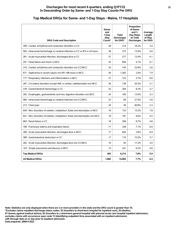| Top Medical DRGs for Same- and 1-Day Stays - Maine, 17 Hospitals |
|------------------------------------------------------------------|
|------------------------------------------------------------------|

| <b>DRG Code and Description</b>                                                | Same-<br>and<br>1-Dav<br><b>Stay</b><br>Count* | Total<br><b>Discharges</b><br>for DRG* | Proportion<br>of Same-<br>and $1-$<br>Day Stays<br>to Total<br><b>Discharges</b> | Average<br>Length<br>of Stay<br>for DRG |
|--------------------------------------------------------------------------------|------------------------------------------------|----------------------------------------|----------------------------------------------------------------------------------|-----------------------------------------|
| 309 : Cardiac arrhythmia and conduction disorders w CC                         | 39                                             | 214                                    | 18.2%                                                                            | 3.4                                     |
| 065 : Intracranial hemorrhage or cerebral infarction w CC or tPA in 24 hours   | 38                                             | 273                                    | 13.9%                                                                            | 4.0                                     |
| 281 : Acute myocardial infarction, discharged alive w CC                       | 37                                             | 277                                    | 13.4%                                                                            | 4.1                                     |
| 291 : Heart failure and shock w MCC                                            | 35                                             | 856                                    | 4.1%                                                                             | 6.1                                     |
| 310 : Cardiac arrhythmia and conduction disorders w/o CC/MCC                   | 33                                             | 145                                    | 22.8%                                                                            | 2.6                                     |
| 871 : Septicemia or severe sepsis w/o MV >96 hours w MCC                       | 30                                             | 1,265                                  | 2.4%                                                                             | 7.9                                     |
| 177 : Respiratory infections and inflammations w MCC                           | 27                                             | 722                                    | 3.7%                                                                             | 8.6                                     |
| 287 : Circulatory disorders except AMI, w cardiac catheterization w/o MCC      | 26                                             | 128                                    | 20.3%                                                                            | 3.1                                     |
| 378 : Gastrointestinal hemorrhage w CC                                         | 25                                             | 304                                    | 8.2%                                                                             | 3.7                                     |
| 392 : Esophagitis, gastroenteritis and misc digestive disorders w/o MCC        | 24                                             | 185                                    | 13.0%                                                                            | 3.3                                     |
| 066 : Intracranial hemorrhage or cerebral infarction w/o CC/MCC                | 23                                             | 84                                     | 27.4%                                                                            | 2.6                                     |
| 313 : Chest pain                                                               | 20                                             | 49                                     | 40.8%                                                                            | 2.3                                     |
| 640 : Misc disorders of nutrition, metabolism, fluids and electrolytes w MCC   | 18                                             | 133                                    | 13.5%                                                                            | 7.8                                     |
| 641 : Misc disorders of nutrition, metabolism, fluids and electrolytes w/o MCC | 18                                             | 187                                    | 9.6%                                                                             | 4.5                                     |
| 683 : Renal failure w CC                                                       | 18                                             | 206                                    | 8.7%                                                                             | 4.8                                     |
| 189 : Pulmonary edema and respiratory failure                                  | 17                                             | 238                                    | 7.1%                                                                             | 6.0                                     |
| 280 : Acute myocardial infarction, discharged alive w MCC                      | 17                                             | 604                                    | 2.8%                                                                             | 6.9                                     |
| 389 : Gastrointestinal obstruction w CC                                        | 17                                             | 110                                    | 15.5%                                                                            | 3.7                                     |
| 282 : Acute myocardial infarction, discharged alive w/o CC/MCC                 | 16                                             | 93                                     | 17.2%                                                                            | 3.0                                     |
| 193 : Simple pneumonia and pleurisy w MCC                                      | 15                                             | 241                                    | 6.2%                                                                             | 4.6                                     |
| <b>Top Medical DRGs</b>                                                        | 493                                            | 6.314                                  | 7.8%                                                                             | 5.9                                     |
| <b>All Medical DRGs</b>                                                        | 1,085                                          | 14,004                                 | 7.7%                                                                             | 6.4                                     |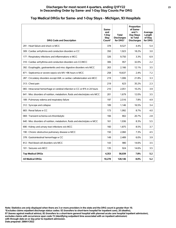#### **Discharges for most recent 4 quarters, ending Q1FY22 23 In Descending Order by Same- and 1-Day Stay Counts Per DRG**

| <b>DRG Code and Description</b>                                                | Same-<br>and<br>1-Day<br>Stav<br>Count* | <b>Total</b><br><b>Discharges</b><br>for DRG* | Proportion<br>of Same-<br>and $1-$<br>Day Stays<br>to Total<br><b>Discharges</b> | Average<br>Length<br>of Stay<br>for DRG |
|--------------------------------------------------------------------------------|-----------------------------------------|-----------------------------------------------|----------------------------------------------------------------------------------|-----------------------------------------|
| 291 : Heart failure and shock w MCC                                            | 378                                     | 8,527                                         | 4.4%                                                                             | 5.4                                     |
| 309 : Cardiac arrhythmia and conduction disorders w CC                         | 350                                     | 1,923                                         | 18.2%                                                                            | 3.0                                     |
| 177 : Respiratory infections and inflammations w MCC                           | 326                                     | 9,750                                         | 3.3%                                                                             | 6.9                                     |
| 310 : Cardiac arrhythmia and conduction disorders w/o CC/MCC                   | 306                                     | 957                                           | 32.0%                                                                            | 2.2                                     |
| 392 : Esophagitis, gastroenteritis and misc digestive disorders w/o MCC        | 263                                     | 2.166                                         | 12.1%                                                                            | 3.5                                     |
| 871 : Septicemia or severe sepsis w/o MV >96 hours w MCC                       | 258                                     | 10,637                                        | 2.4%                                                                             | 7.2                                     |
| 287 : Circulatory disorders except AMI, w cardiac catheterization w/o MCC      | 219                                     | 1,006                                         | 21.8%                                                                            | 3.3                                     |
| 313 : Chest pain                                                               | 219                                     | 623                                           | 35.2%                                                                            | 2.3                                     |
| 065 : Intracranial hemorrhage or cerebral infarction w CC or tPA in 24 hours   | 210                                     | 2,051                                         | 10.2%                                                                            | 3.9                                     |
| 641 : Misc disorders of nutrition, metabolism, fluids and electrolytes w/o MCC | 201                                     | 1.679                                         | 12.0%                                                                            | 3.5                                     |
| 189 : Pulmonary edema and respiratory failure                                  | 197                                     | 2,516                                         | 7.8%                                                                             | 4.9                                     |
| 312 : Syncope and collapse                                                     | 189                                     | 1,146                                         | 16.5%                                                                            | 3.4                                     |
| 683 : Renal failure w CC                                                       | 173                                     | 1,992                                         | 8.7%                                                                             | 4.0                                     |
| 069 : Transient ischemia w/o thrombolytic                                      | 166                                     | 802                                           | 20.7%                                                                            | 2.8                                     |
| 640 : Misc disorders of nutrition, metabolism, fluids and electrolytes w MCC   | 161                                     | 1.936                                         | 8.3%                                                                             | 5.5                                     |
| 690 : Kidney and urinary tract infections w/o MCC                              | 160                                     | 1,875                                         | 8.5%                                                                             | 3.7                                     |
| 190 : Chronic obstructive pulmonary disease w MCC                              | 150                                     | 2,060                                         | 7.3%                                                                             | 4.5                                     |
| 378 : Gastrointestinal hemorrhage w CC                                         | 149                                     | 2,489                                         | 6.0%                                                                             | 3.9                                     |
| 812 : Red blood cell disorders w/o MCC                                         | 143                                     | 980                                           | 14.6%                                                                            | 3.5                                     |
| 101 : Seizures w/o MCC                                                         | 135                                     | 924                                           | 14.6%                                                                            | 3.5                                     |
| <b>Top Medical DRGs</b>                                                        | 4,353                                   | 56,039                                        | 7.8%                                                                             | 5.2                                     |
| <b>All Medical DRGs</b>                                                        | 10,278                                  | 128,146                                       | 8.0%                                                                             | 5.2                                     |

## **Top Medical DRGs for Same- and 1-Day Stays - Michigan, 93 Hospitals**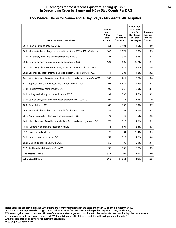## **Top Medical DRGs for Same- and 1-Day Stays - Minnesota, 48 Hospitals**

| <b>DRG Code and Description</b>                                                | Same-<br>and<br>1-Day<br>Stay<br>Count* | <b>Total</b><br><b>Discharges</b><br>for DRG* | Proportion<br>of Same-<br>and $1-$<br>Day Stays<br>to Total<br><b>Discharges</b> | Average<br>Length<br>of Stay<br>for DRG |
|--------------------------------------------------------------------------------|-----------------------------------------|-----------------------------------------------|----------------------------------------------------------------------------------|-----------------------------------------|
| 291 : Heart failure and shock w MCC                                            | 154                                     | 3,403                                         | 4.5%                                                                             | 4.9                                     |
| 065 : Intracranial hemorrhage or cerebral infarction w CC or tPA in 24 hours   | 140                                     | 1,075                                         | 13.0%                                                                            | 3.5                                     |
| 177 : Respiratory infections and inflammations w MCC                           | 124                                     | 3.327                                         | 3.7%                                                                             | 6.7                                     |
| 309 : Cardiac arrhythmia and conduction disorders w CC                         | 123                                     | 595                                           | 20.7%                                                                            | 2.7                                     |
| 287 : Circulatory disorders except AMI, w cardiac catheterization w/o MCC      | 116                                     | 418                                           | 27.8%                                                                            | 2.8                                     |
| 392 : Esophagitis, gastroenteritis and misc digestive disorders w/o MCC        | 111                                     | 783                                           | 14.2%                                                                            | 3.2                                     |
| 641 : Misc disorders of nutrition, metabolism, fluids and electrolytes w/o MCC | 108                                     | 611                                           | 17.7%                                                                            | 3.6                                     |
| 871 : Septicemia or severe sepsis w/o MV >96 hours w MCC                       | 108                                     | 4,830                                         | 2.2%                                                                             | 6.8                                     |
| 378 : Gastrointestinal hemorrhage w CC                                         | 95                                      | 1,061                                         | 9.0%                                                                             | 3.4                                     |
| 690 : Kidney and urinary tract infections w/o MCC                              | 92                                      | 730                                           | 12.6%                                                                            | 3.3                                     |
| 310 : Cardiac arrhythmia and conduction disorders w/o CC/MCC                   | 91                                      | 218                                           | 41.7%                                                                            | 1.9                                     |
| 683 : Renal failure w CC                                                       | 87                                      | 708                                           | 12.3%                                                                            | 3.7                                     |
| 066 : Intracranial hemorrhage or cerebral infarction w/o CC/MCC                | 86                                      | 255                                           | 33.7%                                                                            | 2.4                                     |
| 281 : Acute myocardial infarction, discharged alive w CC                       | 79                                      | 448                                           | 17.6%                                                                            | 2.8                                     |
| 640 : Misc disorders of nutrition, metabolism, fluids and electrolytes w MCC   | 79                                      | 716                                           | 11.0%                                                                            | 5.1                                     |
| 189 : Pulmonary edema and respiratory failure                                  | 78                                      | 891                                           | 8.8%                                                                             | 4.3                                     |
| 312 : Syncope and collapse                                                     | 78                                      | 334                                           | 23.4%                                                                            | 3.3                                     |
| 292 : Heart failure and shock w CC                                             | 58                                      | 527                                           | 11.0%                                                                            | 3.8                                     |
| 552 : Medical back problems w/o MCC                                            | 56                                      | 435                                           | 12.9%                                                                            | 3.7                                     |
| 812 : Red blood cell disorders w/o MCC                                         | 56                                      | 336                                           | 16.7%                                                                            | 3.3                                     |
| <b>Top Medical DRGs</b>                                                        | 1,919                                   | 21,701                                        | 8.8%                                                                             | 4.9                                     |
| <b>All Medical DRGs</b>                                                        | 4,715                                   | 54,760                                        | 8.6%                                                                             | 5.3                                     |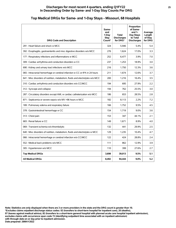#### **Discharges for most recent 4 quarters, ending Q1FY22 25 In Descending Order by Same- and 1-Day Stay Counts Per DRG**

| <b>DRG Code and Description</b>                                                | Same-<br>and<br>1-Dav<br>Stay<br>Count* | <b>Total</b><br><b>Discharges</b><br>for DRG* | Proportion<br>of Same-<br>and $1-$<br>Day Stays<br>to Total<br><b>Discharges</b> | Average<br>Length<br>of Stay<br>for DRG |
|--------------------------------------------------------------------------------|-----------------------------------------|-----------------------------------------------|----------------------------------------------------------------------------------|-----------------------------------------|
| 291 : Heart failure and shock w MCC                                            | 324                                     | 5.946                                         | 5.4%                                                                             | 5.4                                     |
| 392 : Esophagitis, gastroenteritis and misc digestive disorders w/o MCC        | 276                                     | 1,624                                         | 17.0%                                                                            | 3.3                                     |
| 177 : Respiratory infections and inflammations w MCC                           | 252                                     | 6,477                                         | 3.9%                                                                             | 7.0                                     |
| 309 : Cardiac arrhythmia and conduction disorders w CC                         | 237                                     | 1,253                                         | 18.9%                                                                            | 3.0                                     |
| 690 : Kidney and urinary tract infections w/o MCC                              | 216                                     | 1,750                                         | 12.3%                                                                            | 3.6                                     |
| 065 : Intracranial hemorrhage or cerebral infarction w CC or tPA in 24 hours   | 211                                     | 1.674                                         | 12.6%                                                                            | 3.7                                     |
| 641 : Misc disorders of nutrition, metabolism, fluids and electrolytes w/o MCC | 200                                     | 1,216                                         | 16.4%                                                                            | 3.5                                     |
| 310 : Cardiac arrhythmia and conduction disorders w/o CC/MCC                   | 194                                     | 695                                           | 27.9%                                                                            | 2.2                                     |
| 312 : Syncope and collapse                                                     | 194                                     | 762                                           | 25.5%                                                                            | 3.0                                     |
| 287 : Circulatory disorders except AMI, w cardiac catheterization w/o MCC      | 186                                     | 653                                           | 28.5%                                                                            | 2.8                                     |
| 871 : Septicemia or severe sepsis w/o MV >96 hours w MCC                       | 182                                     | 8,113                                         | 2.2%                                                                             | 7.2                                     |
| 189 : Pulmonary edema and respiratory failure                                  | 166                                     | 1,752                                         | 9.5%                                                                             | 4.5                                     |
| 378 : Gastrointestinal hemorrhage w CC                                         | 154                                     | 1,719                                         | 9.0%                                                                             | 3.6                                     |
| 313 : Chest pain                                                               | 153                                     | 347                                           | 44.1%                                                                            | 2.1                                     |
| 683 : Renal failure w CC                                                       | 149                                     | 1,671                                         | 8.9%                                                                             | 4.0                                     |
| 069 : Transient ischemia w/o thrombolytic                                      | 132                                     | 441                                           | 29.9%                                                                            | 2.5                                     |
| 640 : Misc disorders of nutrition, metabolism, fluids and electrolytes w MCC   | 129                                     | 1,235                                         | 10.4%                                                                            | 4.7                                     |
| 066 : Intracranial hemorrhage or cerebral infarction w/o CC/MCC                | 122                                     | 424                                           | 28.8%                                                                            | 2.4                                     |
| 552 : Medical back problems w/o MCC                                            | 111                                     | 862                                           | 12.9%                                                                            | 3.9                                     |
| 305 : Hypertension w/o MCC                                                     | 110                                     | 399                                           | 27.6%                                                                            | 2.7                                     |
| <b>Top Medical DRGs</b>                                                        | 3,698                                   | 39,013                                        | 9.5%                                                                             | 5.1                                     |
| <b>All Medical DRGs</b>                                                        | 8,492                                   | 94,444                                        | 9.0%                                                                             | 5.2                                     |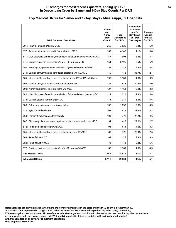#### **Discharges for most recent 4 quarters, ending Q1FY22 26 In Descending Order by Same- and 1-Day Stay Counts Per DRG**

#### **Top Medical DRGs for Same- and 1-Day Stays - Mississippi, 59 Hospitals DRG Code and Description Sameand 1-Day Stay Count\* Total Discharges for DRG\* Proportion of Sameand 1- Day Stays to Total Discharges Average Length of Stay for DRG** 291 : Heart failure and shock w MCC 262 3,826 5.0 177 : Respiratory infections and inflammations w MCC  $\begin{array}{|c|c|c|c|c|c|c|c|c|} \hline & & 169 & & 4.142 & & 4.1\% & & 6.8 \\ \hline \end{array}$ 641 : Misc disorders of nutrition, metabolism, fluids and electrolytes w/o MCC  $\vert$  157  $\vert$  993 15.8% 3.4 871 : Septicemia or severe sepsis w/o MV >96 hours w MCC 154 6,196 2.5% 6.9 392 : Esophagitis, gastroenteritis and misc digestive disorders w/o MCC | 152 | 1,018 | 14.9% | 3.4 310 : Cardiac arrhythmia and conduction disorders w/o CC/MCC 140 | 140 | 416 | 33.7% | 2.1 065 : Intracranial hemorrhage or cerebral infarction w CC or tPA in 24 hours 100 1,180 1,180 100 11.0% 3.9 309 : Cardiac arrhythmia and conduction disorders w CC 127 | 127 | 618 | 20.6% 3.0 690 : Kidney and urinary tract infections w/o MCC  $\begin{array}{|c|c|c|c|c|c|c|c|c|} \hline \end{array}$  127 1,163 10.9% 3.8 640 : Misc disorders of nutrition, metabolism, fluids and electrolytes w MCC | 114 | 1,011 | 11.3% | 4.8 378 : Gastrointestinal hemorrhage w CC 113 | 113 | 1,349 | 1,34% 3.6 189 : Pulmonary edema and respiratory failure 105 105 105 1052 10.0% 10.0% 4.5 312 : Syncope and collapse 104  $\vert$  104  $\vert$  104  $\vert$  21.9% 3.1 069 : Transient ischemia w/o thrombolytic  $\vert$  103  $\vert$  27.2% 27.2% 2.6 287 : Circulatory disorders except AMI, w cardiac catheterization w/o MCC  $\vert$  94 412 22.8% 2.7 812 : Red blood cell disorders w/o MCC  $\begin{array}{|c|c|c|c|c|c|c|c|c|} \hline \end{array}$  94  $\begin{array}{|c|c|c|c|c|c|} \hline \end{array}$  94  $\begin{array}{|c|c|c|c|c|} \hline \end{array}$  94  $\begin{array}{|c|c|c|c|c|} \hline \end{array}$  94  $\begin{array}{|c|c|c|c|c|c|} \hline \end{array}$  14.6%  $\begin{array}{|c|c|c$ 066 : Intracranial hemorrhage or cerebral infarction w/o CC/MCC  $\qquad \qquad \qquad \qquad 89$  326  $\qquad \qquad 27.3\%$  2.6 683 : Renal failure w CC 683 : Renal failure w CC 689 1,125 | 7.9% 3.9 682 : Renal failure w MCC 6.2% **6.2%** 1,178 **6.2% 5.6** 872 : Septicemia or severe sepsis w/o MV >96 hours w/o MCC  $\begin{array}{|c|c|c|c|c|c|c|c|c|} \hline \end{array}$  67 | 1,369 4.9% 4.5

**Top Medical DRGs 2,463 28,870 8.5% 5.1 All Medical DRGs 5,111 59,589 8.6% 5.1**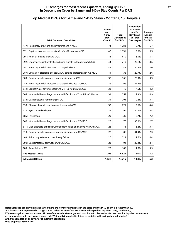#### **Discharges for most recent 4 quarters, ending Q1FY22 27 In Descending Order by Same- and 1-Day Stay Counts Per DRG**

#### **DRG Code and Description Sameand 1-Day Stay Count\* Total Discharges for DRG\* Proportion of Sameand 1- Day Stays to Total Discharges Average Length of Stay for DRG** 177 : Respiratory infections and inflammations w MCC 74 1,288 5.7% 6.7 871 : Septicemia or severe sepsis w/o MV >96 hours w MCC  $\begin{array}{|c|c|c|c|c|c|c|c|c|} \hline & & 48 & & 1,351 & 3.6\% & 6.5 & \end{array}$ 291 : Heart failure and shock w MCC  $\begin{array}{|c|c|c|c|c|c|c|c|} \hline \end{array}$  44  $\begin{array}{|c|c|c|c|c|} \hline \end{array}$  6.5%  $\begin{array}{|c|c|c|c|c|} \hline \end{array}$  5.4 392 : Esophagitis, gastroenteritis and misc digestive disorders w/o MCC  $\vert$  44  $\vert$  219  $\vert$  20.1% 3.5 281 : Acute myocardial infarction, discharged alive w CC  $\begin{array}{|c|c|c|c|c|c|c|c|c|} \hline & 43 & 142 & 30.3\% & 2.6 \hline \end{array}$ 287 : Circulatory disorders except AMI, w cardiac catheterization w/o MCC | 41 | 138 | 29.7% | 2.6 309 : Cardiac arrhythmia and conduction disorders w CC  $\vert$  38  $\vert$  166 22.9% 3.3 282 : Acute myocardial infarction, discharged alive w/o CC/MCC 36 66 54.5% 1.7 872 : Septicemia or severe sepsis w/o MV >96 hours w/o MCC  $\begin{array}{|c|c|c|c|c|c|c|c|c|} \hline \end{array}$  33  $\begin{array}{|c|c|c|c|c|c|c|c|} \hline \end{array}$  440  $\begin{array}{|c|c|c|c|c|c|c|c|c|} \hline \end{array}$  4.2 065 : Intracranial hemorrhage or cerebral infarction w CC or tPA in 24 hours  $\vert$  31  $\vert$  252 1 12.3% 4.9 378 : Gastrointestinal hemorrhage w CC 31 304 304 304 3.4 190 : Chronic obstructive pulmonary disease w MCC  $\begin{array}{|c|c|c|c|c|c|c|c|c|} \hline \end{array}$  30  $\begin{array}{|c|c|c|c|c|c|c|c|c|} \hline \end{array}$  221  $\begin{array}{|c|c|c|c|c|c|} \hline \end{array}$  4.0  $312$ : Syncope and collapse 29  $\begin{array}{|c|c|c|c|c|c|c|c|c|} \hline \end{array}$  29  $\begin{array}{|c|c|c|c|c|c|c|c|} \hline \end{array}$  30.2% 3.4 885 : Psychoses 29 430 6.7% 7.2 066 : Intracranial hemorrhage or cerebral infarction w/o CC/MCC 28 76 36.8% 2.7 641 : Misc disorders of nutrition, metabolism, fluids and electrolytes w/o MCC  $\vert$  28  $\vert$  173 16.2% 16.2% 3.7 310 : Cardiac arrhythmia and conduction disorders w/o CC/MCC  $\begin{array}{|c|c|c|c|c|c|c|c|c|c|c|c|} \hline \end{array}$  2.3 86 31.4% 2.3 189 : Pulmonary edema and respiratory failure 20 224 224 11.6% 4.4 390 : Gastrointestinal obstruction w/o CC/MCC 23 23 23 23 25.3% 2.4 683: Renal failure w CC 22 | 11.8% 3.9 **Top Medical DRGs 705 6,629 10.6% 5.2 All Medical DRGs 1,531 14,215 10.8% 5.2**

## **Top Medical DRGs for Same- and 1-Day Stays - Montana, 13 Hospitals**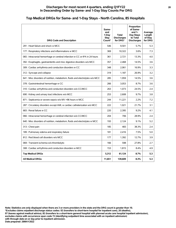#### **Discharges for most recent 4 quarters, ending Q1FY22 28 In Descending Order by Same- and 1-Day Stay Counts Per DRG**

## **Top Medical DRGs for Same- and 1-Day Stays - North Carolina, 85 Hospitals**

| <b>DRG Code and Description</b>                                                | Same-<br>and<br>1-Day<br><b>Stay</b><br>Count* | <b>Total</b><br><b>Discharges</b><br>for DRG* | Proportion<br>of Same-<br>and $1-$<br>Day Stays<br>to Total<br><b>Discharges</b> | Average<br>Length<br>of Stay<br>for DRG |
|--------------------------------------------------------------------------------|------------------------------------------------|-----------------------------------------------|----------------------------------------------------------------------------------|-----------------------------------------|
| 291 : Heart failure and shock w MCC                                            | 546                                            | 9.501                                         | 5.7%                                                                             | 5.3                                     |
| 177 : Respiratory infections and inflammations w MCC                           | 369                                            | 10,322                                        | 3.6%                                                                             | 7.3                                     |
| 065 : Intracranial hemorrhage or cerebral infarction w CC or tPA in 24 hours   | 361                                            | 2,721                                         | 13.3%                                                                            | 4.0                                     |
| 392 : Esophagitis, gastroenteritis and misc digestive disorders w/o MCC        | 357                                            | 2,468                                         | 14.5%                                                                            | 3.6                                     |
| 309 : Cardiac arrhythmia and conduction disorders w CC                         | 348                                            | 2,061                                         | 16.9%                                                                            | 3.3                                     |
| 312 : Syncope and collapse                                                     | 319                                            | 1,187                                         | 26.9%                                                                            | 3.2                                     |
| 641 : Misc disorders of nutrition, metabolism, fluids and electrolytes w/o MCC | 285                                            | 1,959                                         | 14.5%                                                                            | 3.6                                     |
| 378 : Gastrointestinal hemorrhage w CC                                         | 266                                            | 3,053                                         | 8.7%                                                                             | 3.6                                     |
| 310 : Cardiac arrhythmia and conduction disorders w/o CC/MCC                   | 263                                            | 1,073                                         | 24.5%                                                                            | 2.4                                     |
| 690 : Kidney and urinary tract infections w/o MCC                              | 253                                            | 2,608                                         | 9.7%                                                                             | 3.8                                     |
| 871 : Septicemia or severe sepsis w/o MV >96 hours w MCC                       | 244                                            | 11,221                                        | 2.2%                                                                             | 7.2                                     |
| 287 : Circulatory disorders except AMI, w cardiac catheterization w/o MCC      | 222                                            | 1.021                                         | 21.7%                                                                            | 3.1                                     |
| 683 : Renal failure w CC                                                       | 220                                            | 2,395                                         | 9.2%                                                                             | 4.1                                     |
| 066 : Intracranial hemorrhage or cerebral infarction w/o CC/MCC                | 204                                            | 706                                           | 28.9%                                                                            | 2.4                                     |
| 640 : Misc disorders of nutrition, metabolism, fluids and electrolytes w MCC   | 193                                            | 2,124                                         | 9.1%                                                                             | 5.2                                     |
| 313 : Chest pain                                                               | 185                                            | 483                                           | 38.3%                                                                            | 2.4                                     |
| 189 : Pulmonary edema and respiratory failure                                  | 181                                            | 2,416                                         | 7.5%                                                                             | 5.0                                     |
| 812 : Red blood cell disorders w/o MCC                                         | 177                                            | 1,392                                         | 12.7%                                                                            | 3.9                                     |
| 069 : Transient ischemia w/o thrombolytic                                      | 166                                            | 598                                           | 27.8%                                                                            | 2.7                                     |
| 308 : Cardiac arrhythmia and conduction disorders w MCC                        | 153                                            | 1,815                                         | 8.4%                                                                             | 4.9                                     |
| <b>Top Medical DRGs</b>                                                        | 5,312                                          | 61,124                                        | 8.7%                                                                             | 5.3                                     |
| <b>All Medical DRGs</b>                                                        | 11,651                                         | 139,609                                       | 8.3%                                                                             | 5.3                                     |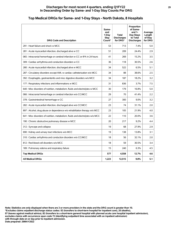| <b>DRG Code and Description</b>                                                | Same-<br>and<br>1-Day<br><b>Stay</b><br>Count* | Total<br><b>Discharges</b><br>for DRG* | Proportion<br>of Same-<br>and $1-$<br>Day Stays<br>to Total<br><b>Discharges</b> | Average<br>Length<br>of Stay<br>for DRG |
|--------------------------------------------------------------------------------|------------------------------------------------|----------------------------------------|----------------------------------------------------------------------------------|-----------------------------------------|
| 291 : Heart failure and shock w MCC                                            | 53                                             | 713                                    | 7.4%                                                                             | 5.0                                     |
| 281 : Acute myocardial infarction, discharged alive w CC                       | 51                                             | 209                                    | 24.4%                                                                            | 2.9                                     |
| 065 : Intracranial hemorrhage or cerebral infarction w CC or tPA in 24 hours   | 41                                             | 269                                    | 15.2%                                                                            | 3.5                                     |
| 309 : Cardiac arrhythmia and conduction disorders w CC                         | 36                                             | 118                                    | 30.5%                                                                            | 2.6                                     |
| 280 : Acute myocardial infarction, discharged alive w MCC                      | 34                                             | 522                                    | 6.5%                                                                             | 5.1                                     |
| 287 : Circulatory disorders except AMI, w cardiac catheterization w/o MCC      | 34                                             | 88                                     | 38.6%                                                                            | 2.5                                     |
| 392 : Esophagitis, gastroenteritis and misc digestive disorders w/o MCC        | 34                                             | 187                                    | 18.2%                                                                            | 3.2                                     |
| 177 : Respiratory infections and inflammations w MCC                           | 31                                             | 836                                    | 3.7%                                                                             | 7.5                                     |
| 640 : Misc disorders of nutrition, metabolism, fluids and electrolytes w MCC   | 30                                             | 179                                    | 16.8%                                                                            | 5.0                                     |
| 066 : Intracranial hemorrhage or cerebral infarction w/o CC/MCC                | 29                                             | 70                                     | 41.4%                                                                            | 2.2                                     |
| 378 : Gastrointestinal hemorrhage w CC                                         | 27                                             | 300                                    | 9.0%                                                                             | 3.2                                     |
| 282 : Acute myocardial infarction, discharged alive w/o CC/MCC                 | 23                                             | 74                                     | 31.1%                                                                            | 2.0                                     |
| 897 : Alcohol, drug abuse or dependence w/o rehabilitation therapy w/o MCC     | 23                                             | 105                                    | 21.9%                                                                            | 4.0                                     |
| 641 : Misc disorders of nutrition, metabolism, fluids and electrolytes w/o MCC | 22                                             | 110                                    | 20.0%                                                                            | 3.6                                     |
| 190 : Chronic obstructive pulmonary disease w MCC                              | 20                                             | 217                                    | 9.2%                                                                             | 4.4                                     |
| 312 : Syncope and collapse                                                     | 19                                             | 68                                     | 27.9%                                                                            | 2.9                                     |
| 690 : Kidney and urinary tract infections w/o MCC                              | 19                                             | 138                                    | 13.8%                                                                            | 3.1                                     |
| 310 : Cardiac arrhythmia and conduction disorders w/o CC/MCC                   | 18                                             | 56                                     | 32.1%                                                                            | 2.0                                     |
| 812 : Red blood cell disorders w/o MCC                                         | 18                                             | 59                                     | 30.5%                                                                            | 3.4                                     |
| 189 : Pulmonary edema and respiratory failure                                  | 15                                             | 240                                    | 6.3%                                                                             | 4.5                                     |
| <b>Top Medical DRGs</b>                                                        | 577                                            | 4,558                                  | 12.7%                                                                            | 4.6                                     |
| <b>All Medical DRGs</b>                                                        | 1,223                                          | 12,515                                 | 9.8%                                                                             | 5.1                                     |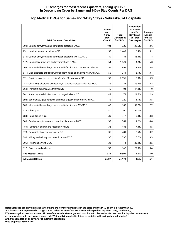#### **Discharges for most recent 4 quarters, ending Q1FY22 30 In Descending Order by Same- and 1-Day Stay Counts Per DRG**

## **Top Medical DRGs for Same- and 1-Day Stays - Nebraska, 24 Hospitals**

| <b>DRG Code and Description</b>                                                | Same-<br>and<br>1-Dav<br>Stav<br>Count* | <b>Total</b><br><b>Discharges</b><br>for DRG* | Proportion<br>of Same-<br>and $1-$<br>Day Stays<br>to Total<br><b>Discharges</b> | Average<br>Length<br>of Stay<br>for DRG |
|--------------------------------------------------------------------------------|-----------------------------------------|-----------------------------------------------|----------------------------------------------------------------------------------|-----------------------------------------|
| 309 : Cardiac arrhythmia and conduction disorders w CC                         | 104                                     | 320                                           | 32.5%                                                                            | 2.6                                     |
| 291 : Heart failure and shock w MCC                                            | 92                                      | 1.445                                         | 6.4%                                                                             | 5.1                                     |
| 310 : Cardiac arrhythmia and conduction disorders w/o CC/MCC                   | 89                                      | 184                                           | 48.4%                                                                            | 1.8                                     |
| 177 : Respiratory infections and inflammations w MCC                           | 64                                      | 1,529                                         | 4.2%                                                                             | 6.8                                     |
| 065 : Intracranial hemorrhage or cerebral infarction w CC or tPA in 24 hours   | 57                                      | 499                                           | 11.4%                                                                            | 3.8                                     |
| 641 : Misc disorders of nutrition, metabolism, fluids and electrolytes w/o MCC | 55                                      | 341                                           | 16.1%                                                                            | 3.1                                     |
| 871 : Septicemia or severe sepsis w/o MV >96 hours w MCC                       | 50                                      | 2,556                                         | 2.0%                                                                             | 6.9                                     |
| 287 : Circulatory disorders except AMI, w cardiac catheterization w/o MCC      | 46                                      | 125                                           | 36.8%                                                                            | 2.8                                     |
| 069 : Transient ischemia w/o thrombolytic                                      | 45                                      | 94                                            | 47.9%                                                                            | 1.9                                     |
| 281 : Acute myocardial infarction, discharged alive w CC                       | 42                                      | 171                                           | 24.6%                                                                            | 2.9                                     |
| 392 : Esophagitis, gastroenteritis and misc digestive disorders w/o MCC        | 42                                      | 320                                           | 13.1%                                                                            | 3.5                                     |
| 066 : Intracranial hemorrhage or cerebral infarction w/o CC/MCC                | 40                                      | 102                                           | 39.2%                                                                            | 2.2                                     |
| 313 : Chest pain                                                               | 40                                      | 60                                            | 66.7%                                                                            | 1.7                                     |
| 683 : Renal failure w CC                                                       | 39                                      | 417                                           | 9.4%                                                                             | 3.8                                     |
| 308 : Cardiac arrhythmia and conduction disorders w MCC                        | 37                                      | 261                                           | 14.2%                                                                            | 4.0                                     |
| 189 : Pulmonary edema and respiratory failure                                  | 36                                      | 488                                           | 7.4%                                                                             | 4.5                                     |
| 378 : Gastrointestinal hemorrhage w CC                                         | 36                                      | 481                                           | 7.5%                                                                             | 3.2                                     |
| 690 : Kidney and urinary tract infections w/o MCC                              | 36                                      | 336                                           | 10.7%                                                                            | 3.3                                     |
| 305 : Hypertension w/o MCC                                                     | 33                                      | 114                                           | 28.9%                                                                            | 2.5                                     |
| 312 : Syncope and collapse                                                     | 33                                      | 148                                           | 22.3%                                                                            | 3.4                                     |
| <b>Top Medical DRGs</b>                                                        | 1,016                                   | 9,991                                         | 10.2%                                                                            | 5.0                                     |
| <b>All Medical DRGs</b>                                                        | 2,307                                   | 24,172                                        | 9.5%                                                                             | 5.1                                     |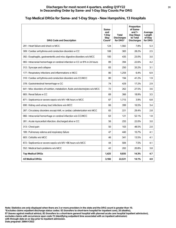#### **Discharges for most recent 4 quarters, ending Q1FY22 31 In Descending Order by Same- and 1-Day Stay Counts Per DRG**

## **Top Medical DRGs for Same- and 1-Day Stays - New Hampshire, 13 Hospitals**

| <b>DRG Code and Description</b>                                                | Same-<br>and<br>1-Dav<br>Stay<br>Count* | Total<br><b>Discharges</b><br>for DRG* | Proportion<br>of Same-<br>and $1-$<br>Day Stays<br>to Total<br><b>Discharges</b> | Average<br>Length<br>of Stay<br>for DRG |
|--------------------------------------------------------------------------------|-----------------------------------------|----------------------------------------|----------------------------------------------------------------------------------|-----------------------------------------|
| 291 : Heart failure and shock w MCC                                            | 124                                     | 1,582                                  | 7.8%                                                                             | 5.3                                     |
| 309 : Cardiac arrhythmia and conduction disorders w CC                         | 108                                     | 383                                    | 28.2%                                                                            | 2.5                                     |
| 392 : Esophagitis, gastroenteritis and misc digestive disorders w/o MCC        | 100                                     | 435                                    | 23.0%                                                                            | 3.0                                     |
| 065 : Intracranial hemorrhage or cerebral infarction w CC or tPA in 24 hours   | 89                                      | 394                                    | 22.6%                                                                            | 4.2                                     |
| 312 : Syncope and collapse                                                     | 83                                      | 250                                    | 33.2%                                                                            | 3.1                                     |
| 177 : Respiratory infections and inflammations w MCC                           | 80                                      | 1,259                                  | 6.4%                                                                             | 6.9                                     |
| 310 : Cardiac arrhythmia and conduction disorders w/o CC/MCC                   | 80                                      | 194                                    | 41.2%                                                                            | 1.9                                     |
| 378 : Gastrointestinal hemorrhage w CC                                         | 74                                      | 429                                    | 17.2%                                                                            | 2.9                                     |
| 641 : Misc disorders of nutrition, metabolism, fluids and electrolytes w/o MCC | 72                                      | 262                                    | 27.5%                                                                            | 3.6                                     |
| 683 : Renal failure w CC                                                       | 69                                      | 366                                    | 18.9%                                                                            | 3.5                                     |
| 871 : Septicemia or severe sepsis w/o MV >96 hours w MCC                       | 67                                      | 1,715                                  | 3.9%                                                                             | 6.8                                     |
| 690 : Kidney and urinary tract infections w/o MCC                              | 66                                      | 399                                    | 16.5%                                                                            | 3.4                                     |
| 287 : Circulatory disorders except AMI, w cardiac catheterization w/o MCC      | 65                                      | 221                                    | 29.4%                                                                            | 2.8                                     |
| 066 : Intracranial hemorrhage or cerebral infarction w/o CC/MCC                | 63                                      | 121                                    | 52.1%                                                                            | 1.8                                     |
| 281 : Acute myocardial infarction, discharged alive w CC                       | 56                                      | 255                                    | 22.0%                                                                            | 3.0                                     |
| 313 : Chest pain                                                               | 50                                      | 103                                    | 48.5%                                                                            | 2.0                                     |
| 189 : Pulmonary edema and respiratory failure                                  | 47                                      | 440                                    | 10.7%                                                                            | 4.1                                     |
| 603 : Cellulitis w/o MCC                                                       | 46                                      | 341                                    | 13.5%                                                                            | 4.1                                     |
| 872 : Septicemia or severe sepsis w/o MV >96 hours w/o MCC                     | 44                                      | 584                                    | 7.5%                                                                             | 4.1                                     |
| 552 : Medical back problems w/o MCC                                            | 42                                      | 202                                    | 20.8%                                                                            | 3.8                                     |
| <b>Top Medical DRGs</b>                                                        | 1.425                                   | 9.935                                  | 14.3%                                                                            | 4.7                                     |
| <b>All Medical DRGs</b>                                                        | 3,166                                   | 22,531                                 | 14.1%                                                                            | 4.9                                     |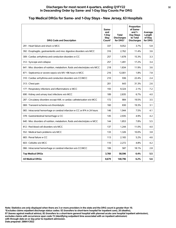## **Top Medical DRGs for Same- and 1-Day Stays - New Jersey, 63 Hospitals**

| <b>DRG Code and Description</b>                                                | Same-<br>and<br>1-Dav<br>Stav<br>Count* | <b>Total</b><br><b>Discharges</b><br>for DRG* | Proportion<br>of Same-<br>and $1-$<br>Day Stays<br>to Total<br><b>Discharges</b> | Average<br>Length<br>of Stay<br>for DRG |
|--------------------------------------------------------------------------------|-----------------------------------------|-----------------------------------------------|----------------------------------------------------------------------------------|-----------------------------------------|
| 291 : Heart failure and shock w MCC                                            | 337                                     | 9,052                                         | 3.7%                                                                             | 5.8                                     |
| 392 : Esophagitis, gastroenteritis and misc digestive disorders w/o MCC        | 316                                     | 2.762                                         | 11.4%                                                                            | 3.6                                     |
| 309 : Cardiac arrhythmia and conduction disorders w CC                         | 257                                     | 1,678                                         | 15.3%                                                                            | 3.3                                     |
| 312 : Syncope and collapse                                                     | 257                                     | 1,491                                         | 17.2%                                                                            | 3.4                                     |
| 641 : Misc disorders of nutrition, metabolism, fluids and electrolytes w/o MCC | 218                                     | 1,834                                         | 11.9%                                                                            | 3.6                                     |
| 871 : Septicemia or severe sepsis w/o MV >96 hours w MCC                       | 216                                     | 12,001                                        | 1.8%                                                                             | 7.8                                     |
| 310 : Cardiac arrhythmia and conduction disorders w/o CC/MCC                   | 210                                     | 936                                           | 22.4%                                                                            | 2.4                                     |
| 313 : Chest pain                                                               | 201                                     | 643                                           | 31.3%                                                                            | 2.6                                     |
| 177 : Respiratory infections and inflammations w MCC                           | 193                                     | 9,324                                         | 2.1%                                                                             | 7.2                                     |
| 690 : Kidney and urinary tract infections w/o MCC                              | 189                                     | 2.835                                         | 6.7%                                                                             | 4.0                                     |
| 287 : Circulatory disorders except AMI, w cardiac catheterization w/o MCC      | 172                                     | 884                                           | 19.5%                                                                            | 3.5                                     |
| 069 : Transient ischemia w/o thrombolytic                                      | 160                                     | 830                                           | 19.3%                                                                            | 3.1                                     |
| 065 : Intracranial hemorrhage or cerebral infarction w CC or tPA in 24 hours   | 146                                     | 1.944                                         | 7.5%                                                                             | 4.1                                     |
| 378 : Gastrointestinal hemorrhage w CC                                         | 145                                     | 2,935                                         | 4.9%                                                                             | 4.2                                     |
| 640 : Misc disorders of nutrition, metabolism, fluids and electrolytes w MCC   | 144                                     | 1,853                                         | 7.8%                                                                             | 5.5                                     |
| 812 : Red blood cell disorders w/o MCC                                         | 137                                     | 1,244                                         | 11.0%                                                                            | 4.0                                     |
| 552 : Medical back problems w/o MCC                                            | 133                                     | 1,326                                         | 10.0%                                                                            | 3.8                                     |
| 683 : Renal failure w CC                                                       | 113                                     | 2,165                                         | 5.2%                                                                             | 4.6                                     |
| 603 : Cellulitis w/o MCC                                                       | 110                                     | 2,272                                         | 4.8%                                                                             | 4.2                                     |
| 066 : Intracranial hemorrhage or cerebral infarction w/o CC/MCC                | 106                                     | 587                                           | 18.1%                                                                            | 2.8                                     |
| <b>Top Medical DRGs</b>                                                        | 3,760                                   | 58,596                                        | 6.4%                                                                             | 5.5                                     |
| <b>All Medical DRGs</b>                                                        | 8,679                                   | 140,796                                       | 6.2%                                                                             | 5.6                                     |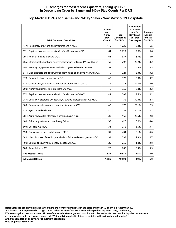## **Top Medical DRGs for Same- and 1-Day Stays - New Mexico, 29 Hospitals**

| <b>DRG Code and Description</b>                                                | Same-<br>and<br>1-Day<br>Stay<br>Count* | <b>Total</b><br><b>Discharges</b><br>for DRG* | Proportion<br>of Same-<br>and $1-$<br>Day Stays<br>to Total<br><b>Discharges</b> | Average<br>Length<br>of Stay<br>for DRG |
|--------------------------------------------------------------------------------|-----------------------------------------|-----------------------------------------------|----------------------------------------------------------------------------------|-----------------------------------------|
| 177 : Respiratory infections and inflammations w MCC                           | 110                                     | 1,726                                         | 6.4%                                                                             | 6.5                                     |
| 871 : Septicemia or severe sepsis w/o MV >96 hours w MCC                       | 64                                      | 2,223                                         | 2.9%                                                                             | 6.6                                     |
| 291 : Heart failure and shock w MCC                                            | 63                                      | 937                                           | 6.7%                                                                             | 4.9                                     |
| 065 : Intracranial hemorrhage or cerebral infarction w CC or tPA in 24 hours   | 60                                      | 297                                           | 20.2%                                                                            | 3.2                                     |
| 392 : Esophagitis, gastroenteritis and misc digestive disorders w/o MCC        | 54                                      | 328                                           | 16.5%                                                                            | 3.3                                     |
| 641 : Misc disorders of nutrition, metabolism, fluids and electrolytes w/o MCC | 49                                      | 321                                           | 15.3%                                                                            | 3.2                                     |
| 378 : Gastrointestinal hemorrhage w CC                                         | 48                                      | 373                                           | 12.9%                                                                            | 3.2                                     |
| 310 : Cardiac arrhythmia and conduction disorders w/o CC/MCC                   | 46                                      | 118                                           | 39.0%                                                                            | 2.0                                     |
| 690 : Kidney and urinary tract infections w/o MCC                              | 46                                      | 359                                           | 12.8%                                                                            | 3.3                                     |
| 872 : Septicemia or severe sepsis w/o MV >96 hours w/o MCC                     | 44                                      | 587                                           | 7.5%                                                                             | 4.2                                     |
| 287 : Circulatory disorders except AMI, w cardiac catheterization w/o MCC      | 40                                      | 132                                           | 30.3%                                                                            | 2.8                                     |
| 309 : Cardiac arrhythmia and conduction disorders w CC                         | 40                                      | 173                                           | 23.1%                                                                            | 2.9                                     |
| 312 : Syncope and collapse                                                     | 40                                      | 133                                           | 30.1%                                                                            | 2.7                                     |
| 281 : Acute myocardial infarction, discharged alive w CC                       | 38                                      | 168                                           | 22.6%                                                                            | 2.8                                     |
| 189 : Pulmonary edema and respiratory failure                                  | 37                                      | 420                                           | 8.8%                                                                             | 4.4                                     |
| 603 : Cellulitis w/o MCC                                                       | 34                                      | 252                                           | 13.5%                                                                            | 3.4                                     |
| 193 : Simple pneumonia and pleurisy w MCC                                      | 31                                      | 434                                           | 7.1%                                                                             | 4.6                                     |
| 640 : Misc disorders of nutrition, metabolism, fluids and electrolytes w MCC   | 31                                      | 333                                           | 9.3%                                                                             | 4.7                                     |
| 190 : Chronic obstructive pulmonary disease w MCC                              | 29                                      | 259                                           | 11.2%                                                                            | 3.8                                     |
| 683 : Renal failure w CC                                                       | 28                                      | 268                                           | 10.4%                                                                            | 3.9                                     |
| <b>Top Medical DRGs</b>                                                        | 932                                     | 9,841                                         | 9.5%                                                                             | 4.9                                     |
| <b>All Medical DRGs</b>                                                        | 1,986                                   | 19,990                                        | 9.9%                                                                             | 5.0                                     |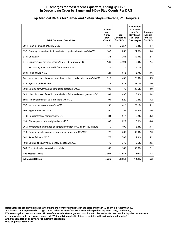| <b>DRG Code and Description</b>                                                | Same-<br>and<br>1-Dav<br>Stav<br>Count* | <b>Total</b><br><b>Discharges</b><br>for DRG* | Proportion<br>of Same-<br>and $1-$<br>Day Stays<br>to Total<br><b>Discharges</b> | Average<br>Length<br>of Stay<br>for DRG |
|--------------------------------------------------------------------------------|-----------------------------------------|-----------------------------------------------|----------------------------------------------------------------------------------|-----------------------------------------|
| 291 : Heart failure and shock w MCC                                            | 171                                     | 2,057                                         | 8.3%                                                                             | 4.7                                     |
| 392 : Esophagitis, gastroenteritis and misc digestive disorders w/o MCC        | 142                                     | 656                                           | 21.6%                                                                            | 3.0                                     |
| 313 : Chest pain                                                               | 138                                     | 264                                           | 52.3%                                                                            | 2.1                                     |
| 871 : Septicemia or severe sepsis w/o MV >96 hours w MCC                       | 133                                     | 4,594                                         | 2.9%                                                                             | 7.4                                     |
| 177 : Respiratory infections and inflammations w MCC                           | 127                                     | 2,710                                         | 4.7%                                                                             | 7.1                                     |
| 683 : Renal failure w CC                                                       | 121                                     | 646                                           | 18.7%                                                                            | 3.6                                     |
| 641 : Misc disorders of nutrition, metabolism, fluids and electrolytes w/o MCC | 119                                     | 458                                           | 26.0%                                                                            | 3.3                                     |
| 312 : Syncope and collapse                                                     | 112                                     | 413                                           | 27.1%                                                                            | 3.0                                     |
| 309 : Cardiac arrhythmia and conduction disorders w CC                         | 108                                     | 479                                           | 22.5%                                                                            | 2.9                                     |
| 640 : Misc disorders of nutrition, metabolism, fluids and electrolytes w MCC   | 101                                     | 636                                           | 15.9%                                                                            | 4.4                                     |
| 690 : Kidney and urinary tract infections w/o MCC                              | 101                                     | 520                                           | 19.4%                                                                            | 3.2                                     |
| 552 : Medical back problems w/o MCC                                            | 96                                      | 416                                           | 23.1%                                                                            | 3.1                                     |
| 305 : Hypertension w/o MCC                                                     | 90                                      | 258                                           | 34.9%                                                                            | 2.6                                     |
| 378 : Gastrointestinal hemorrhage w CC                                         | 84                                      | 517                                           | 16.2%                                                                            | 3.3                                     |
| 193 : Simple pneumonia and pleurisy w MCC                                      | 82                                      | 822                                           | 10.0%                                                                            | 4.6                                     |
| 065 : Intracranial hemorrhage or cerebral infarction w CC or tPA in 24 hours   | 79                                      | 499                                           | 15.8%                                                                            | 3.4                                     |
| 310 : Cardiac arrhythmia and conduction disorders w/o CC/MCC                   | 78                                      | 200                                           | 39.0%                                                                            | 2.0                                     |
| 682 : Renal failure w MCC                                                      | 77                                      | 785                                           | 9.8%                                                                             | 5.2                                     |
| 190 : Chronic obstructive pulmonary disease w MCC                              | 72                                      | 370                                           | 19.5%                                                                            | 3.5                                     |
| 069 : Transient ischemia w/o thrombolytic                                      | 67                                      | 187                                           | 35.8%                                                                            | 2.1                                     |
| <b>Top Medical DRGs</b>                                                        | 2,098                                   | 17,487                                        | 12.0%                                                                            | 5.3                                     |
| <b>All Medical DRGs</b>                                                        | 4,736                                   | 38,961                                        | 12.2%                                                                            | 5.2                                     |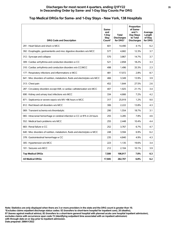## **Top Medical DRGs for Same- and 1-Day Stays - New York, 138 Hospitals**

| <b>DRG Code and Description</b>                                                | Same-<br>and<br>1-Dav<br><b>Stay</b><br>Count* | Total<br><b>Discharges</b><br>for DRG* | Proportion<br>of Same-<br>and $1-$<br>Day Stays<br>to Total<br><b>Discharges</b> | Average<br>Length<br>of Stay<br>for DRG |
|--------------------------------------------------------------------------------|------------------------------------------------|----------------------------------------|----------------------------------------------------------------------------------|-----------------------------------------|
| 291 : Heart failure and shock w MCC                                            | 601                                            | 14,490                                 | 4.1%                                                                             | 6.2                                     |
| 392 : Esophagitis, gastroenteritis and misc digestive disorders w/o MCC        | 577                                            | 4.682                                  | 12.3%                                                                            | 3.7                                     |
| 312 : Syncope and collapse                                                     | 570                                            | 3,867                                  | 14.7%                                                                            | 3.7                                     |
| 309 : Cardiac arrhythmia and conduction disorders w CC                         | 521                                            | 2,858                                  | 18.2%                                                                            | 3.3                                     |
| 310 : Cardiac arrhythmia and conduction disorders w/o CC/MCC                   | 498                                            | 1,496                                  | 33.3%                                                                            | 2.3                                     |
| 177 : Respiratory infections and inflammations w MCC                           | 481                                            | 17,072                                 | 2.8%                                                                             | 8.7                                     |
| 641 : Misc disorders of nutrition, metabolism, fluids and electrolytes w/o MCC | 466                                            | 3,349                                  | 13.9%                                                                            | 3.9                                     |
| 313 : Chest pain                                                               | 452                                            | 1,644                                  | 27.5%                                                                            | 2.6                                     |
| 287 : Circulatory disorders except AMI, w cardiac catheterization w/o MCC      | 407                                            | 1,925                                  | 21.1%                                                                            | 3.4                                     |
| 690 : Kidney and urinary tract infections w/o MCC                              | 334                                            | 4.666                                  | 7.2%                                                                             | 4.2                                     |
| 871 : Septicemia or severe sepsis w/o MV >96 hours w MCC                       | 317                                            | 25,919                                 | 1.2%                                                                             | 9.0                                     |
| 812 : Red blood cell disorders w/o MCC                                         | 306                                            | 2,222                                  | 13.8%                                                                            | 4.3                                     |
| 069 : Transient ischemia w/o thrombolytic                                      | 290                                            | 1,554                                  | 18.7%                                                                            | 3.1                                     |
| 065 : Intracranial hemorrhage or cerebral infarction w CC or tPA in 24 hours   | 255                                            | 3,285                                  | 7.8%                                                                             | 4.6                                     |
| 552 : Medical back problems w/o MCC                                            | 255                                            | 2.448                                  | 10.4%                                                                            | 4.4                                     |
| 683 : Renal failure w CC                                                       | 252                                            | 3,767                                  | 6.7%                                                                             | 4.7                                     |
| 640 : Misc disorders of nutrition, metabolism, fluids and electrolytes w MCC   | 248                                            | 3,594                                  | 6.9%                                                                             | 6.2                                     |
| 378 : Gastrointestinal hemorrhage w CC                                         | 235                                            | 4,840                                  | 4.9%                                                                             | 4.3                                     |
| 305 : Hypertension w/o MCC                                                     | 223                                            | 1,135                                  | 19.6%                                                                            | 3.4                                     |
| 101 : Seizures w/o MCC                                                         | 212                                            | 2,104                                  | 10.1%                                                                            | 3.9                                     |
| <b>Top Medical DRGs</b>                                                        | 7,500                                          | 106,917                                | 7.0%                                                                             | 6.3                                     |
| <b>All Medical DRGs</b>                                                        | 17,945                                         | 262,707                                | 6.8%                                                                             | 6.2                                     |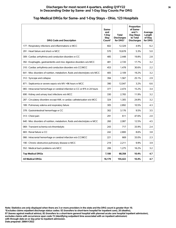#### **Discharges for most recent 4 quarters, ending Q1FY22 36 In Descending Order by Same- and 1-Day Stay Counts Per DRG**

| <b>DRG Code and Description</b>                                                | Same-<br>and<br>1-Dav<br>Stay<br>Count* | <b>Total</b><br><b>Discharges</b><br>for DRG* | Proportion<br>of Same-<br>and $1-$<br>Day Stays<br>to Total<br><b>Discharges</b> | Average<br>Length<br>of Stay<br>for DRG |
|--------------------------------------------------------------------------------|-----------------------------------------|-----------------------------------------------|----------------------------------------------------------------------------------|-----------------------------------------|
| 177 : Respiratory infections and inflammations w MCC                           | 602                                     | 12.329                                        | 4.9%                                                                             | 6.2                                     |
| 291 : Heart failure and shock w MCC                                            | 570                                     | 10,678                                        | 5.3%                                                                             | 5.0                                     |
| 309 : Cardiac arrhythmia and conduction disorders w CC                         | 485                                     | 2,448                                         | 19.8%                                                                            | 2.8                                     |
| 392 : Esophagitis, gastroenteritis and misc digestive disorders w/o MCC        | 481                                     | 2,720                                         | 17.7%                                                                            | 3.2                                     |
| 310 : Cardiac arrhythmia and conduction disorders w/o CC/MCC                   | 453                                     | 1,478                                         | 30.6%                                                                            | 2.2                                     |
| 641 : Misc disorders of nutrition, metabolism, fluids and electrolytes w/o MCC | 405                                     | 2.109                                         | 19.2%                                                                            | 3.2                                     |
| 312 : Syncope and collapse                                                     | 394                                     | 1,567                                         | 25.1%                                                                            | 2.9                                     |
| 871 : Septicemia or severe sepsis w/o MV >96 hours w MCC                       | 390                                     | 12,047                                        | 3.2%                                                                             | 6.6                                     |
| 065 : Intracranial hemorrhage or cerebral infarction w CC or tPA in 24 hours   | 377                                     | 2,474                                         | 15.2%                                                                            | 3.4                                     |
| 690 : Kidney and urinary tract infections w/o MCC                              | 330                                     | 2,765                                         | 11.9%                                                                            | 3.2                                     |
| 287 : Circulatory disorders except AMI, w cardiac catheterization w/o MCC      | 324                                     | 1,305                                         | 24.8%                                                                            | 3.2                                     |
| 189 : Pulmonary edema and respiratory failure                                  | 305                                     | 2,892                                         | 10.5%                                                                            | 4.3                                     |
| 378 : Gastrointestinal hemorrhage w CC                                         | 302                                     | 3,176                                         | 9.5%                                                                             | 3.5                                     |
| 313 : Chest pain                                                               | 291                                     | 611                                           | 47.6%                                                                            | 2.0                                     |
| 640 : Misc disorders of nutrition, metabolism, fluids and electrolytes w MCC   | 260                                     | 2,087                                         | 12.5%                                                                            | 4.5                                     |
| 069 : Transient ischemia w/o thrombolytic                                      | 243                                     | 717                                           | 33.9%                                                                            | 2.4                                     |
| 683 : Renal failure w CC                                                       | 242                                     | 2,800                                         | 8.6%                                                                             | 3.8                                     |
| 066 : Intracranial hemorrhage or cerebral infarction w/o CC/MCC                | 221                                     | 669                                           | 33.0%                                                                            | 2.3                                     |
| 190 : Chronic obstructive pulmonary disease w MCC                              | 219                                     | 2,211                                         | 9.9%                                                                             | 3.9                                     |
| 552 : Medical back problems w/o MCC                                            | 206                                     | 1,275                                         | 16.2%                                                                            | 3.2                                     |
| <b>Top Medical DRGs</b>                                                        | 7,100                                   | 68,358                                        | 10.4%                                                                            | 4.7                                     |
| <b>All Medical DRGs</b>                                                        | 16,179                                  | 155,422                                       | 10.4%                                                                            | 4.7                                     |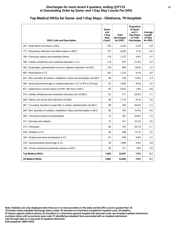#### **Discharges for most recent 4 quarters, ending Q1FY22 37 In Descending Order by Same- and 1-Day Stay Counts Per DRG**

## **Top Medical DRGs for Same- and 1-Day Stays - Oklahoma, 79 Hospitals**

| <b>DRG Code and Description</b>                                                | Same-<br>and<br>1-Day<br>Stav<br>Count* | <b>Total</b><br><b>Discharges</b><br>for DRG* | Proportion<br>of Same-<br>and $1-$<br>Day Stays<br>to Total<br><b>Discharges</b> | Average<br>Length<br>of Stay<br>for DRG |
|--------------------------------------------------------------------------------|-----------------------------------------|-----------------------------------------------|----------------------------------------------------------------------------------|-----------------------------------------|
| 291 : Heart failure and shock w MCC                                            | 145                                     | 2.744                                         | 5.3%                                                                             | 5.0                                     |
| 177 : Respiratory infections and inflammations w MCC                           | 137                                     | 4,420                                         | 3.1%                                                                             | 6.8                                     |
| 189 : Pulmonary edema and respiratory failure                                  | 119                                     | 1.272                                         | 9.4%                                                                             | 4.7                                     |
| 309 : Cardiac arrhythmia and conduction disorders w CC                         | 119                                     | 557                                           | 21.4%                                                                            | 2.9                                     |
| 392 : Esophagitis, gastroenteritis and misc digestive disorders w/o MCC        | 118                                     | 840                                           | 14.0%                                                                            | 3.4                                     |
| 683 : Renal failure w CC                                                       | 103                                     | 1.273                                         | 8.1%                                                                             | 4.0                                     |
| 641 : Misc disorders of nutrition, metabolism, fluids and electrolytes w/o MCC | 98                                      | 759                                           | 12.9%                                                                            | 3.3                                     |
| 065 : Intracranial hemorrhage or cerebral infarction w CC or tPA in 24 hours   | 97                                      | 1,025                                         | 9.5%                                                                             | 3.6                                     |
| 871 : Septicemia or severe sepsis w/o MV >96 hours w MCC                       | 97                                      | 5,433                                         | 1.8%                                                                             | 6.8                                     |
| 310 : Cardiac arrhythmia and conduction disorders w/o CC/MCC                   | 91                                      | 311                                           | 29.3%                                                                            | 2.1                                     |
| 690 : Kidney and urinary tract infections w/o MCC                              | 90                                      | 1,110                                         | 8.1%                                                                             | 3.6                                     |
| 287 : Circulatory disorders except AMI, w cardiac catheterization w/o MCC      | 89                                      | 303                                           | 29.4%                                                                            | 2.7                                     |
| 640 : Misc disorders of nutrition, metabolism, fluids and electrolytes w MCC   | 80                                      | 765                                           | 10.5%                                                                            | 4.6                                     |
| 069 : Transient ischemia w/o thrombolytic                                      | 75                                      | 301                                           | 24.9%                                                                            | 2.5                                     |
| 312 : Syncope and collapse                                                     | 72                                      | 311                                           | 23.2%                                                                            | 3.0                                     |
| 313 : Chest pain                                                               | 69                                      | 191                                           | 36.1%                                                                            | 2.1                                     |
| 638 : Diabetes w CC                                                            | 64                                      | 490                                           | 13.1%                                                                            | 3.5                                     |
| 194 : Simple pneumonia and pleurisy w CC                                       | 61                                      | 676                                           | $9.0\%$                                                                          | 3.7                                     |
| 378 : Gastrointestinal hemorrhage w CC                                         | 59                                      | 1,095                                         | 5.4%                                                                             | 3.8                                     |
| 190 : Chronic obstructive pulmonary disease w MCC                              | 56                                      | 721                                           | 7.8%                                                                             | 3.9                                     |
| <b>Top Medical DRGs</b>                                                        | 1,839                                   | 24,597                                        | 7.5%                                                                             | 5.1                                     |
| <b>All Medical DRGs</b>                                                        | 3,985                                   | 52,604                                        | 7.6%                                                                             | 5.1                                     |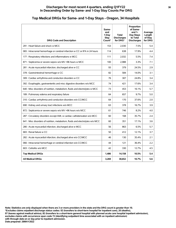| <b>DRG Code and Description</b>                                                | Same-<br>and<br>1-Day<br>Stay<br>Count* | <b>Total</b><br><b>Discharges</b><br>for DRG* | Proportion<br>of Same-<br>and $1-$<br>Day Stays<br>to Total<br><b>Discharges</b> | Average<br>Length<br>of Stay<br>for DRG |
|--------------------------------------------------------------------------------|-----------------------------------------|-----------------------------------------------|----------------------------------------------------------------------------------|-----------------------------------------|
| 291 : Heart failure and shock w MCC                                            | 153                                     | 2,030                                         | 7.5%                                                                             | 5.4                                     |
| 065 : Intracranial hemorrhage or cerebral infarction w CC or tPA in 24 hours   | 114                                     | 638                                           | 17.9%                                                                            | 4.4                                     |
| 177 : Respiratory infections and inflammations w MCC                           | 111                                     | 2,032                                         | 5.5%                                                                             | 7.4                                     |
| 871 : Septicemia or severe sepsis w/o MV >96 hours w MCC                       | 100                                     | 2,988                                         | 3.3%                                                                             | 7.1                                     |
| 281 : Acute myocardial infarction, discharged alive w CC                       | 93                                      | 379                                           | 24.5%                                                                            | 2.9                                     |
| 378 : Gastrointestinal hemorrhage w CC                                         | 82                                      | 584                                           | 14.0%                                                                            | 3.1                                     |
| 309 : Cardiac arrhythmia and conduction disorders w CC                         | 76                                      | 307                                           | 24.8%                                                                            | 3.4                                     |
| 392 : Esophagitis, gastroenteritis and misc digestive disorders w/o MCC        | 74                                      | 421                                           | 17.6%                                                                            | 3.4                                     |
| 640 : Misc disorders of nutrition, metabolism, fluids and electrolytes w MCC   | 73                                      | 453                                           | 16.1%                                                                            | 5.7                                     |
| 189 : Pulmonary edema and respiratory failure                                  | 64                                      | 657                                           | 9.7%                                                                             | 5.0                                     |
| 310 : Cardiac arrhythmia and conduction disorders w/o CC/MCC                   | 64                                      | 170                                           | 37.6%                                                                            | 2.0                                     |
| 690 : Kidney and urinary tract infections w/o MCC                              | 63                                      | 378                                           | 16.7%                                                                            | 3.9                                     |
| 872 : Septicemia or severe sepsis w/o MV >96 hours w/o MCC                     | 61                                      | 746                                           | 8.2%                                                                             | 4.0                                     |
| 287 : Circulatory disorders except AMI, w cardiac catheterization w/o MCC      | 60                                      | 168                                           | 35.7%                                                                            | 2.4                                     |
| 641 : Misc disorders of nutrition, metabolism, fluids and electrolytes w/o MCC | 60                                      | 351                                           | 17.1%                                                                            | 3.6                                     |
| 280 : Acute myocardial infarction, discharged alive w MCC                      | 56                                      | 863                                           | 6.5%                                                                             | 5.7                                     |
| 683 : Renal failure w CC                                                       | 50                                      | 412                                           | 12.1%                                                                            | 3.7                                     |
| 282 : Acute myocardial infarction, discharged alive w/o CC/MCC                 | 46                                      | 130                                           | 35.4%                                                                            | 2.1                                     |
| 066 : Intracranial hemorrhage or cerebral infarction w/o CC/MCC                | 44                                      | 121                                           | 36.4%                                                                            | 2.2                                     |
| 603 : Cellulitis w/o MCC                                                       | 42                                      | 330                                           | 12.7%                                                                            | 4.5                                     |
| <b>Top Medical DRGs</b>                                                        | 1,486                                   | 14,158                                        | 10.5%                                                                            | 5.4                                     |
| <b>All Medical DRGs</b>                                                        | 3,269                                   | 30,652                                        | 10.7%                                                                            | 5.6                                     |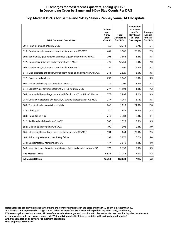#### **Discharges for most recent 4 quarters, ending Q1FY22 39 In Descending Order by Same- and 1-Day Stay Counts Per DRG**

## **Top Medical DRGs for Same- and 1-Day Stays - Pennsylvania, 143 Hospitals**

| <b>DRG Code and Description</b>                                                | Same-<br>and<br>1-Day<br>Stay<br>Count* | <b>Total</b><br><b>Discharges</b><br>for DRG* | Proportion<br>of Same-<br>and $1-$<br>Day Stays<br>to Total<br><b>Discharges</b> | Average<br>Length<br>of Stay<br>for DRG |
|--------------------------------------------------------------------------------|-----------------------------------------|-----------------------------------------------|----------------------------------------------------------------------------------|-----------------------------------------|
| 291 : Heart failure and shock w MCC                                            | 452                                     | 12,243                                        | 3.7%                                                                             | 5.4                                     |
| 310 : Cardiac arrhythmia and conduction disorders w/o CC/MCC                   | 401                                     | 1,506                                         | 26.6%                                                                            | 2.3                                     |
| 392 : Esophagitis, gastroenteritis and misc digestive disorders w/o MCC        | 398                                     | 3,568                                         | 11.2%                                                                            | 3.5                                     |
| 177 : Respiratory infections and inflammations w MCC                           | 370                                     | 12,759                                        | 2.9%                                                                             | 7.0                                     |
| 309 : Cardiac arrhythmia and conduction disorders w CC                         | 356                                     | 2,497                                         | 14.3%                                                                            | 3.1                                     |
| 641 : Misc disorders of nutrition, metabolism, fluids and electrolytes w/o MCC | 343                                     | 2,525                                         | 13.6%                                                                            | 3.5                                     |
| 312 : Syncope and collapse                                                     | 293                                     | 1.847                                         | 15.9%                                                                            | 3.3                                     |
| 690 : Kidney and urinary tract infections w/o MCC                              | 279                                     | 3,299                                         | 8.5%                                                                             | 3.7                                     |
| 871 : Septicemia or severe sepsis w/o MV >96 hours w MCC                       | 277                                     | 14,504                                        | 1.9%                                                                             | 7.2                                     |
| 065 : Intracranial hemorrhage or cerebral infarction w CC or tPA in 24 hours   | 275                                     | 2,995                                         | 9.2%                                                                             | 3.9                                     |
| 287 : Circulatory disorders except AMI, w cardiac catheterization w/o MCC      | 247                                     | 1,361                                         | 18.1%                                                                            | 3.5                                     |
| 069 : Transient ischemia w/o thrombolytic                                      | 245                                     | 1,019                                         | 24.0%                                                                            | 2.6                                     |
| 313 : Chest pain                                                               | 240                                     | 644                                           | 37.3%                                                                            | 2.3                                     |
| 683 : Renal failure w CC                                                       | 218                                     | 3,384                                         | 6.4%                                                                             | 4.1                                     |
| 812 : Red blood cell disorders w/o MCC                                         | 206                                     | 1,525                                         | 13.5%                                                                            | 3.5                                     |
| 552 : Medical back problems w/o MCC                                            | 199                                     | 1,906                                         | 10.4%                                                                            | 3.9                                     |
| 066 : Intracranial hemorrhage or cerebral infarction w/o CC/MCC                | 194                                     | 844                                           | 23.0%                                                                            | 2.5                                     |
| 189 : Pulmonary edema and respiratory failure                                  | 193                                     | 2,870                                         | 6.7%                                                                             | 5.0                                     |
| 378 : Gastrointestinal hemorrhage w CC                                         | 177                                     | 3.649                                         | 4.9%                                                                             | 4.0                                     |
| 640 : Misc disorders of nutrition, metabolism, fluids and electrolytes w MCC   | 173                                     | 2,198                                         | 7.9%                                                                             | 5.3                                     |
| <b>Top Medical DRGs</b>                                                        | 5,536                                   | 77,143                                        | 7.2%                                                                             | 5.2                                     |
| <b>All Medical DRGs</b>                                                        | 12,768                                  | 182,634                                       | 7.0%                                                                             | 5.3                                     |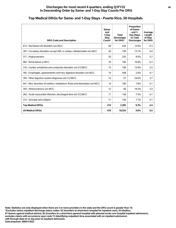## **Top Medical DRGs for Same- and 1-Day Stays - Puerto Rico, 50 Hospitals**

| <b>DRG Code and Description</b>                                                | Same-<br>and<br>1-Dav<br><b>Stay</b><br>Count* | <b>Total</b><br><b>Discharges</b><br>for DRG* | Proportion<br>of Same-<br>and $1-$<br>Day Stays<br>to Total<br><b>Discharges</b> | Average<br>Length<br>of Stay<br>for DRG |
|--------------------------------------------------------------------------------|------------------------------------------------|-----------------------------------------------|----------------------------------------------------------------------------------|-----------------------------------------|
| 812 : Red blood cell disorders w/o MCC                                         | 59                                             | 434                                           | 13.6%                                                                            | 4.3                                     |
| 287 : Circulatory disorders except AMI, w cardiac catheterization w/o MCC      | 26                                             | 199                                           | 13.1%                                                                            | 4.0                                     |
| 311 : Angina pectoris                                                          | 20                                             | 235                                           | 8.5%                                                                             | 3.7                                     |
| 682 : Renal failure w MCC                                                      | 18                                             | 166                                           | 10.8%                                                                            | 6.3                                     |
| 310 : Cardiac arrhythmia and conduction disorders w/o CC/MCC                   | 15                                             | 108                                           | 13.9%                                                                            | 3.5                                     |
| 392 : Esophagitis, gastroenteritis and misc digestive disorders w/o MCC        | 14                                             | 548                                           | 2.6%                                                                             | 4.7                                     |
| 395 : Other digestive system diagnoses w/o CC/MCC                              | 14                                             | 57                                            | 24.6%                                                                            | 3.7                                     |
| 641 : Misc disorders of nutrition, metabolism, fluids and electrolytes w/o MCC | 14                                             | 180                                           | 7.8%                                                                             | 5.1                                     |
| 303 : Atherosclerosis w/o MCC                                                  | 12                                             | 66                                            | 18.2%                                                                            | 3.4                                     |
| 282 : Acute myocardial infarction, discharged alive w/o CC/MCC                 | 11                                             | 146                                           | 7.5%                                                                             | 4.1                                     |
| 312 : Syncope and collapse                                                     | 11                                             | 156                                           | 7.1%                                                                             | 4.1                                     |
| <b>Top Medical DRGs</b>                                                        | 214                                            | 2,295                                         | 9.3%                                                                             | 4.4                                     |
| <b>All Medical DRGs</b>                                                        | 476                                            | 10,354                                        | 4.6%                                                                             | 6.5                                     |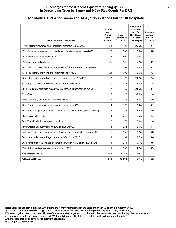## **Top Medical DRGs for Same- and 1-Day Stays - Rhode Island, 10 Hospitals**

| <b>DRG Code and Description</b>                                                    | Same-<br>and<br>1-Day<br>Stav<br>Count* | <b>Total</b><br><b>Discharges</b><br>for DRG* | Proportion<br>of Same-<br>and $1-$<br>Day Stays<br>to Total<br><b>Discharges</b> | Average<br>Length<br>of Stay<br>for DRG |
|------------------------------------------------------------------------------------|-----------------------------------------|-----------------------------------------------|----------------------------------------------------------------------------------|-----------------------------------------|
| 310 : Cardiac arrhythmia and conduction disorders w/o CC/MCC                       | 31                                      | 105                                           | 29.5%                                                                            | 2.4                                     |
| 392 : Esophagitis, gastroenteritis and misc digestive disorders w/o MCC            | 29                                      | 302                                           | 9.6%                                                                             | 3.8                                     |
| 291 : Heart failure and shock w MCC                                                | 28                                      | 992                                           | 2.8%                                                                             | 5.2                                     |
| 312 : Syncope and collapse                                                         | 26                                      | 156                                           | 16.7%                                                                            | 3.1                                     |
| 641 : Misc disorders of nutrition, metabolism, fluids and electrolytes w/o MCC     | 26                                      | 194                                           | 13.4%                                                                            | 3.3                                     |
| 177 : Respiratory infections and inflammations w MCC                               | 21                                      | 793                                           | 2.6%                                                                             | 7.3                                     |
| 066 : Intracranial hemorrhage or cerebral infarction w/o CC/MCC                    | 19                                      | 77                                            | 24.7%                                                                            | 2.4                                     |
| 871 : Septicemia or severe sepsis w/o MV >96 hours w MCC                           | 19                                      | 783                                           | 2.4%                                                                             | 7.4                                     |
| 287 : Circulatory disorders except AMI, w cardiac catheterization w/o MCC          | 17                                      | 69                                            | 24.6%                                                                            | 3.1                                     |
| 313 : Chest pain                                                                   | 17                                      | 48                                            | 35.4%                                                                            | 2.0                                     |
| 189 : Pulmonary edema and respiratory failure                                      | 15                                      | 178                                           | 8.4%                                                                             | 4.9                                     |
| 309 : Cardiac arrhythmia and conduction disorders w CC                             | 14                                      | 176                                           | 8.0%                                                                             | 3.1                                     |
| 563 : Fracture, sprain, strain and dislocation except femur, hip, pelvis and thigh | 14                                      | 74                                            | 18.9%                                                                            | 3.0                                     |
| 683 : Renal failure w CC                                                           | 14                                      | 216                                           | 6.5%                                                                             | 4.3                                     |
| 069 : Transient ischemia w/o thrombolytic                                          | 13                                      | 73                                            | 17.8%                                                                            | 2.8                                     |
| 190 : Chronic obstructive pulmonary disease w MCC                                  | 13                                      | 236                                           | 5.5%                                                                             | 4.4                                     |
| 640 : Misc disorders of nutrition, metabolism, fluids and electrolytes w MCC       | 13                                      | 168                                           | 7.7%                                                                             | 4.8                                     |
| 064 : Intracranial hemorrhage or cerebral infarction w MCC                         | 11                                      | 194                                           | 5.7%                                                                             | 6.6                                     |
| 065 : Intracranial hemorrhage or cerebral infarction w CC or tPA in 24 hours       | 11                                      | 214                                           | 5.1%                                                                             | 3.8                                     |
| 690 : Kidney and urinary tract infections w/o MCC                                  | 11                                      | 232                                           | 4.7%                                                                             | 3.5                                     |
| <b>Top Medical DRGs</b>                                                            | 362                                     | 5,280                                         | 6.9%                                                                             | 5.2                                     |
| <b>All Medical DRGs</b>                                                            | 818                                     | 13,918                                        | 5.9%                                                                             | 5.2                                     |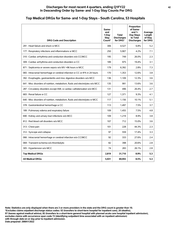#### **Discharges for most recent 4 quarters, ending Q1FY22 42 In Descending Order by Same- and 1-Day Stay Counts Per DRG**

## **Top Medical DRGs for Same- and 1-Day Stays - South Carolina, 53 Hospitals**

| <b>DRG Code and Description</b>                                                | Same-<br>and<br>1-Day<br>Stay<br>Count* | <b>Total</b><br><b>Discharges</b><br>for DRG* | Proportion<br>of Same-<br>and $1-$<br>Day Stays<br>to Total<br><b>Discharges</b> | Average<br>Length<br>of Stay<br>for DRG |
|--------------------------------------------------------------------------------|-----------------------------------------|-----------------------------------------------|----------------------------------------------------------------------------------|-----------------------------------------|
| 291 : Heart failure and shock w MCC                                            | 306                                     | 4,527                                         | 6.8%                                                                             | 5.2                                     |
| 177 : Respiratory infections and inflammations w MCC                           | 250                                     | 5,907                                         | 4.2%                                                                             | 7.1                                     |
| 310 : Cardiac arrhythmia and conduction disorders w/o CC/MCC                   | 195                                     | 749                                           | 26.0%                                                                            | 2.3                                     |
| 309 : Cardiac arrhythmia and conduction disorders w CC                         | 189                                     | 975                                           | 19.4%                                                                            | 3.1                                     |
| 871 : Septicemia or severe sepsis w/o MV >96 hours w MCC                       | 179                                     | 6.392                                         | 2.8%                                                                             | 7.3                                     |
| 065 : Intracranial hemorrhage or cerebral infarction w CC or tPA in 24 hours   | 170                                     | 1,353                                         | 12.6%                                                                            | 3.8                                     |
| 392 : Esophagitis, gastroenteritis and misc digestive disorders w/o MCC        | 136                                     | 1,109                                         | 12.3%                                                                            | 3.6                                     |
| 641 : Misc disorders of nutrition, metabolism, fluids and electrolytes w/o MCC | 135                                     | 991                                           | 13.6%                                                                            | 3.6                                     |
| 287 : Circulatory disorders except AMI, w cardiac catheterization w/o MCC      | 131                                     | 496                                           | 26.4%                                                                            | 2.7                                     |
| 683 : Renal failure w CC                                                       | 127                                     | 1,371                                         | 9.3%                                                                             | 4.1                                     |
| 640 : Misc disorders of nutrition, metabolism, fluids and electrolytes w MCC   | 117                                     | 1,156                                         | 10.1%                                                                            | 5.1                                     |
| 378 : Gastrointestinal hemorrhage w CC                                         | 113                                     | 1,497                                         | 7.5%                                                                             | 3.7                                     |
| 189 : Pulmonary edema and respiratory failure                                  | 109                                     | 1.455                                         | 7.5%                                                                             | 4.8                                     |
| 690 : Kidney and urinary tract infections w/o MCC                              | 109                                     | 1,219                                         | 8.9%                                                                             | 3.8                                     |
| 812 : Red blood cell disorders w/o MCC                                         | 107                                     | 712                                           | 15.0%                                                                            | 3.6                                     |
| 313 : Chest pain                                                               | 101                                     | 228                                           | 44.3%                                                                            | 2.3                                     |
| 312 : Syncope and collapse                                                     | 97                                      | 559                                           | 17.4%                                                                            | 3.3                                     |
| 066 : Intracranial hemorrhage or cerebral infarction w/o CC/MCC                | 92                                      | 333                                           | 27.6%                                                                            | 2.4                                     |
| 069 : Transient ischemia w/o thrombolytic                                      | 82                                      | 398                                           | 20.6%                                                                            | 2.8                                     |
| 305 : Hypertension w/o MCC                                                     | 74                                      | 283                                           | 26.1%                                                                            | 2.8                                     |
| <b>Top Medical DRGs</b>                                                        | 2.819                                   | 31,710                                        | 8.9%                                                                             | 5.3                                     |
| <b>All Medical DRGs</b>                                                        | 5,931                                   | 69,955                                        | 8.5%                                                                             | 5.3                                     |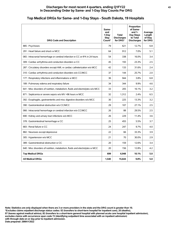#### **Discharges for most recent 4 quarters, ending Q1FY22 43 In Descending Order by Same- and 1-Day Stay Counts Per DRG**

## **Top Medical DRGs for Same- and 1-Day Stays - South Dakota, 19 Hospitals**

| <b>DRG Code and Description</b>                                                | Same-<br>and<br>1-Day<br>Stay<br>Count* | Total<br><b>Discharges</b><br>for DRG* | Proportion<br>of Same-<br>and $1-$<br>Day Stays<br>to Total<br><b>Discharges</b> | Average<br>Length<br>of Stay<br>for DRG |
|--------------------------------------------------------------------------------|-----------------------------------------|----------------------------------------|----------------------------------------------------------------------------------|-----------------------------------------|
| 885: Psychoses                                                                 | 79                                      | 621                                    | 12.7%                                                                            | 6.8                                     |
| 291 : Heart failure and shock w MCC                                            | 64                                      | 912                                    | 7.0%                                                                             | 5.1                                     |
| 065 : Intracranial hemorrhage or cerebral infarction w CC or tPA in 24 hours   | 54                                      | 338                                    | 16.0%                                                                            | 3.4                                     |
| 309 : Cardiac arrhythmia and conduction disorders w CC                         | 45                                      | 193                                    | 23.3%                                                                            | 2.5                                     |
| 287 : Circulatory disorders except AMI, w cardiac catheterization w/o MCC      | 42                                      | 133                                    | 31.6%                                                                            | 2.4                                     |
| 310 : Cardiac arrhythmia and conduction disorders w/o CC/MCC                   | 37                                      | 144                                    | 25.7%                                                                            | 2.0                                     |
| 177 : Respiratory infections and inflammations w MCC                           | 36                                      | 944                                    | 3.8%                                                                             | 6.8                                     |
| 189 : Pulmonary edema and respiratory failure                                  | 34                                      | 344                                    | 9.9%                                                                             | 4.6                                     |
| 641 : Misc disorders of nutrition, metabolism, fluids and electrolytes w/o MCC | 33                                      | 205                                    | 16.1%                                                                            | 3.2                                     |
| 871 : Septicemia or severe sepsis w/o MV >96 hours w MCC                       | 32                                      | 1,312                                  | 2.4%                                                                             | 6.5                                     |
| 392 : Esophagitis, gastroenteritis and misc digestive disorders w/o MCC        | 30                                      | 225                                    | 13.3%                                                                            | 3.2                                     |
| 390 : Gastrointestinal obstruction w/o CC/MCC                                  | 29                                      | 107                                    | 27.1%                                                                            | 2.5                                     |
| 066 : Intracranial hemorrhage or cerebral infarction w/o CC/MCC                | 26                                      | 88                                     | 29.5%                                                                            | 2.5                                     |
| 690 : Kidney and urinary tract infections w/o MCC                              | 26                                      | 229                                    | 11.4%                                                                            | 3.6                                     |
| 378 : Gastrointestinal hemorrhage w CC                                         | 25                                      | 455                                    | 5.5%                                                                             | 3.7                                     |
| 683 : Renal failure w CC                                                       | 24                                      | 247                                    | 9.7%                                                                             | 4.0                                     |
| 882 : Neuroses except depressive                                               | 22                                      | 66                                     | 33.3%                                                                            | 3.9                                     |
| 305 : Hypertension w/o MCC                                                     | 21                                      | 70                                     | 30.0%                                                                            | 2.9                                     |
| 389 : Gastrointestinal obstruction w CC                                        | 20                                      | 159                                    | 12.6%                                                                            | 3.4                                     |
| 640 : Misc disorders of nutrition, metabolism, fluids and electrolytes w MCC   | 20                                      | 156                                    | 12.8%                                                                            | 4.2                                     |
| <b>Top Medical DRGs</b>                                                        | 699                                     | 6.948                                  | 10.1%                                                                            | 5.0                                     |
| <b>All Medical DRGs</b>                                                        | 1,540                                   | 15,644                                 | 9.8%                                                                             | 5.0                                     |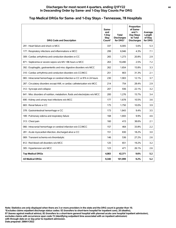#### **Discharges for most recent 4 quarters, ending Q1FY22 44 In Descending Order by Same- and 1-Day Stay Counts Per DRG**

#### **DRG Code and Description Sameand 1-Day Stay Count\* Total Discharges for DRG\* Proportion of Sameand 1- Day Stays to Total Discharges Average Length of Stay for DRG** 291 : Heart failure and shock w MCC 337 6,005 5.6% 5.3 177 : Respiratory infections and inflammations w MCC 299 6,946 4.3% 7.1 309 : Cardiac arrhythmia and conduction disorders w CC  $\vert$  265  $\vert$  1,273  $\vert$  20.8% 2.9 871 : Septicemia or severe sepsis w/o MV >96 hours w MCC 263 10,490 2.5% 7.2 392 : Esophagitis, gastroenteritis and misc digestive disorders w/o MCC  $\vert$  262  $\vert$  1,654 15.8% 3.3 310 : Cardiac arrhythmia and conduction disorders w/o CC/MCC  $\begin{array}{|c|c|c|c|c|c|c|c|c|} \hline 251 & 803 & 31.3\% & 2.1\ \hline \end{array}$ 065 : Intracranial hemorrhage or cerebral infarction w CC or tPA in 24 hours  $\vert$  230 1, 1,903 1, 12.1% 3.7 287 : Circulatory disorders except AMI, w cardiac catheterization w/o MCC  $\vert$  214  $\vert$  754  $\vert$  28.4% 2.9 312 : Syncope and collapse 207 | 207 | 207 | 208 | 22.1% 3.2 641 : Misc disorders of nutrition, metabolism, fluids and electrolytes w/o MCC | 200 | 1,276 | 15.7% | 3.4 690 : Kidney and urinary tract infections w/o MCC 177 | 1,678 | 10.5% 3.6 683 : Renal failure w CC 2008 10.0% 10.0% 3.9 378 : Gastrointestinal hemorrhage w CC 173 | 173 | 1,843 | 9.4% 3.5 189 : Pulmonary edema and respiratory failure 168 100 168 1,693 1,693 9.9% 4.6 313 : Chest pain 160 and 2.1 and 2.1 and 313 : Chest pain 160 and 2.1 and 38.6% 2.1 066 : Intracranial hemorrhage or cerebral infarction w/o CC/MCC | 157 | 464 33.8% | 2.2 281 : Acute myocardial infarction, discharged alive w CC 151 830 151 830 18.2% 3.0 069 : Transient ischemia w/o thrombolytic 146 2009 : 146 336 27.2% 2.6 812 : Red blood cell disorders w/o MCC 125 125 125 125 125 19.2% 19.2% 3.2 305 : Hypertension w/o MCC 2.6 123 | 471 | 26.1% 2.6 **Top Medical DRGs 4,083 42,371 9.6% 5.2 All Medical DRGs 9,340 101,999 9.2% 5.2**

## **Top Medical DRGs for Same- and 1-Day Stays - Tennessee, 78 Hospitals**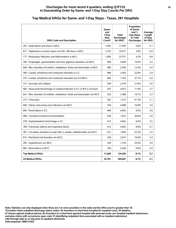#### **Discharges for most recent 4 quarters, ending Q1FY22 45 In Descending Order by Same- and 1-Day Stay Counts Per DRG**

| <b>DRG Code and Description</b>                                                | Same-<br>and<br>1-Day<br>Stav<br>Count* | <b>Total</b><br><b>Discharges</b><br>for DRG* | Proportion<br>of Same-<br>and $1-$<br>Day Stays<br>to Total<br><b>Discharges</b> | Average<br>Length<br>of Stay<br>for DRG |
|--------------------------------------------------------------------------------|-----------------------------------------|-----------------------------------------------|----------------------------------------------------------------------------------|-----------------------------------------|
| 291 : Heart failure and shock w MCC                                            | 1,045                                   | 17,930                                        | 5.8%                                                                             | 5.1                                     |
| 871 : Septicemia or severe sepsis w/o MV >96 hours w MCC                       | 1,016                                   | 33,577                                        | 3.0%                                                                             | 6.9                                     |
| 177 : Respiratory infections and inflammations w MCC                           | 1,000                                   | 23,751                                        | 4.2%                                                                             | 6.8                                     |
| 392 : Esophagitis, gastroenteritis and misc digestive disorders w/o MCC        | 694                                     | 4,829                                         | 14.4%                                                                            | 3.4                                     |
| 640 : Misc disorders of nutrition, metabolism, fluids and electrolytes w MCC   | 690                                     | 5,564                                         | 12.4%                                                                            | 4.4                                     |
| 309 : Cardiac arrhythmia and conduction disorders w CC                         | 668                                     | 3,043                                         | 22.0%                                                                            | 2.9                                     |
| 310 : Cardiac arrhythmia and conduction disorders w/o CC/MCC                   | 665                                     | 1.763                                         | 37.7%                                                                            | 2.0                                     |
| 312 : Syncope and collapse                                                     | 558                                     | 2,579                                         | 21.6%                                                                            | 3.0                                     |
| 065 : Intracranial hemorrhage or cerebral infarction w CC or tPA in 24 hours   | 557                                     | 4,873                                         | 11.4%                                                                            | 3.7                                     |
| 641 : Misc disorders of nutrition, metabolism, fluids and electrolytes w/o MCC | 543                                     | 3,380                                         | 16.1%                                                                            | 3.2                                     |
| 313 : Chest pain                                                               | 542                                     | 1,313                                         | 41.3%                                                                            | 2.1                                     |
| 690 : Kidney and urinary tract infections w/o MCC                              | 539                                     | 4,968                                         | 10.8%                                                                            | 3.5                                     |
| 683 : Renal failure w CC                                                       | 460                                     | 4,835                                         | 9.5%                                                                             | 3.8                                     |
| 069 : Transient ischemia w/o thrombolytic                                      | 439                                     | 1,637                                         | 26.8%                                                                            | 2.6                                     |
| 378 : Gastrointestinal hemorrhage w CC                                         | 413                                     | 4,942                                         | 8.4%                                                                             | 3.5                                     |
| 189 : Pulmonary edema and respiratory failure                                  | 412                                     | 4.652                                         | 8.9%                                                                             | 4.7                                     |
| 287 : Circulatory disorders except AMI, w cardiac catheterization w/o MCC      | 412                                     | 1.850                                         | 22.3%                                                                            | 3.2                                     |
| 812 : Red blood cell disorders w/o MCC                                         | 339                                     | 2,037                                         | 16.6%                                                                            | 3.4                                     |
| 305 : Hypertension w/o MCC                                                     | 329                                     | 1,318                                         | 25.0%                                                                            | 2.6                                     |
| 682 : Renal failure w MCC                                                      | 328                                     | 5,444                                         | 6.0%                                                                             | 5.4                                     |
| <b>Top Medical DRGs</b>                                                        | 11,649                                  | 134,285                                       | 8.7%                                                                             | 5.2                                     |
| <b>All Medical DRGs</b>                                                        | 25,781                                  | 295,007                                       | 8.7%                                                                             | 5.1                                     |

## **Top Medical DRGs for Same- and 1-Day Stays - Texas, 291 Hospitals**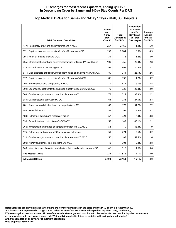#### **Discharges for most recent 4 quarters, ending Q1FY22 46 In Descending Order by Same- and 1-Day Stay Counts Per DRG**

| <b>DRG Code and Description</b>                                                | Same-<br>and<br>1-Dav<br>Stay<br>Count* | <b>Total</b><br><b>Discharges</b><br>for DRG* | Proportion<br>of Same-<br>and $1-$<br>Day Stays<br>to Total<br><b>Discharges</b> | Average<br>Length<br>of Stay<br>for DRG |
|--------------------------------------------------------------------------------|-----------------------------------------|-----------------------------------------------|----------------------------------------------------------------------------------|-----------------------------------------|
| 177 : Respiratory infections and inflammations w MCC                           | 257                                     | 2,166                                         | 11.9%                                                                            | 5.0                                     |
| 871 : Septicemia or severe sepsis w/o MV >96 hours w MCC                       | 192                                     | 2.784                                         | 6.9%                                                                             | 4.9                                     |
| 291 : Heart failure and shock w MCC                                            | 131                                     | 1.174                                         | 11.2%                                                                            | 4.0                                     |
| 065 : Intracranial hemorrhage or cerebral infarction w CC or tPA in 24 hours   | 109                                     | 456                                           | 23.9%                                                                            | 2.8                                     |
| 378 : Gastrointestinal hemorrhage w CC                                         | 95                                      | 464                                           | 20.5%                                                                            | 2.7                                     |
| 641 : Misc disorders of nutrition, metabolism, fluids and electrolytes w/o MCC | 89                                      | 341                                           | 26.1%                                                                            | 2.6                                     |
| 872 : Septicemia or severe sepsis w/o MV >96 hours w/o MCC                     | 86                                      | 737                                           | 11.7%                                                                            | 3.2                                     |
| 193 : Simple pneumonia and pleurisy w MCC                                      | 79                                      | 474                                           | 16.7%                                                                            | 3.5                                     |
| 392 : Esophagitis, gastroenteritis and misc digestive disorders w/o MCC        | 79                                      | 332                                           | 23.8%                                                                            | 2.9                                     |
| 309 : Cardiac arrhythmia and conduction disorders w CC                         | 73                                      | 219                                           | 33.3%                                                                            | 2.2                                     |
| 389 : Gastrointestinal obstruction w CC                                        | 64                                      | 233                                           | 27.5%                                                                            | 2.8                                     |
| 281 : Acute myocardial infarction, discharged alive w CC                       | 60                                      | 173                                           | 34.7%                                                                            | 2.2                                     |
| 683 : Renal failure w CC                                                       | 59                                      | 395                                           | 14.9%                                                                            | 3.1                                     |
| 189 : Pulmonary edema and respiratory failure                                  | 57                                      | 321                                           | 17.8%                                                                            | 3.8                                     |
| 390 : Gastrointestinal obstruction w/o CC/MCC                                  | 57                                      | 142                                           | 40.1%                                                                            | 2.1                                     |
| 066 : Intracranial hemorrhage or cerebral infarction w/o CC/MCC                | 54                                      | 119                                           | 45.4%                                                                            | 1.9                                     |
| 175 : Pulmonary embolism w MCC or acute cor pulmonale                          | 51                                      | 274                                           | 18.6%                                                                            | 3.2                                     |
| 310 : Cardiac arrhythmia and conduction disorders w/o CC/MCC                   | 50                                      | 87                                            | 57.5%                                                                            | 1.6                                     |
| 690 : Kidney and urinary tract infections w/o MCC                              | 48                                      | 304                                           | 15.8%                                                                            | 2.8                                     |
| 640 : Misc disorders of nutrition, metabolism, fluids and electrolytes w MCC   | 46                                      | 315                                           | 14.6%                                                                            | 3.6                                     |
| <b>Top Medical DRGs</b>                                                        | 1,736                                   | 11,510                                        | 15.1%                                                                            | 3.9                                     |
| <b>All Medical DRGs</b>                                                        | 3.498                                   | 23,163                                        | 15.1%                                                                            | 4.0                                     |

## **Top Medical DRGs for Same- and 1-Day Stays - Utah, 33 Hospitals**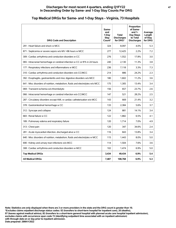#### **Discharges for most recent 4 quarters, ending Q1FY22 47 In Descending Order by Same- and 1-Day Stay Counts Per DRG**

| <b>DRG Code and Description</b>                                                | Same-<br>and<br>1-Dav<br>Stav<br>Count* | <b>Total</b><br><b>Discharges</b><br>for DRG* | Proportion<br>of Same-<br>and $1-$<br>Day Stays<br>to Total<br><b>Discharges</b> | Average<br>Length<br>of Stay<br>for DRG |
|--------------------------------------------------------------------------------|-----------------------------------------|-----------------------------------------------|----------------------------------------------------------------------------------|-----------------------------------------|
| 291 : Heart failure and shock w MCC                                            | 324                                     | 8,097                                         | 4.0%                                                                             | 5.3                                     |
| 871 : Septicemia or severe sepsis w/o MV >96 hours w MCC                       | 277                                     | 12,425                                        | 2.2%                                                                             | 7.2                                     |
| 309 : Cardiac arrhythmia and conduction disorders w CC                         | 276                                     | 1,552                                         | 17.8%                                                                            | 3.0                                     |
| 065 : Intracranial hemorrhage or cerebral infarction w CC or tPA in 24 hours   | 240                                     | 2,130                                         | 11.3%                                                                            | 3.8                                     |
| 177 : Respiratory infections and inflammations w MCC                           | 236                                     | 7,118                                         | 3.3%                                                                             | 7.3                                     |
| 310 : Cardiac arrhythmia and conduction disorders w/o CC/MCC                   | 214                                     | 886                                           | 24.2%                                                                            | 2.3                                     |
| 392 : Esophagitis, gastroenteritis and misc digestive disorders w/o MCC        | 180                                     | 1,602                                         | 11.2%                                                                            | 3.6                                     |
| 641 : Misc disorders of nutrition, metabolism, fluids and electrolytes w/o MCC | 175                                     | 1,305                                         | 13.4%                                                                            | 3.4                                     |
| 069 : Transient ischemia w/o thrombolytic                                      | 156                                     | 657                                           | 23.7%                                                                            | 2.6                                     |
| 066 : Intracranial hemorrhage or cerebral infarction w/o CC/MCC                | 147                                     | 521                                           | 28.2%                                                                            | 2.5                                     |
| 287 : Circulatory disorders except AMI, w cardiac catheterization w/o MCC      | 143                                     | 669                                           | 21.4%                                                                            | 3.2                                     |
| 378 : Gastrointestinal hemorrhage w CC                                         | 133                                     | 2,384                                         | 5.6%                                                                             | 3.7                                     |
| 312 : Syncope and collapse                                                     | 124                                     | 881                                           | 14.1%                                                                            | 3.4                                     |
| 683 : Renal failure w CC                                                       | 122                                     | 1,882                                         | 6.5%                                                                             | 4.1                                     |
| 189 : Pulmonary edema and respiratory failure                                  | 120                                     | 1,714                                         | 7.0%                                                                             | 4.9                                     |
| 313 : Chest pain                                                               | 120                                     | 347                                           | 34.6%                                                                            | 2.4                                     |
| 281 : Acute myocardial infarction, discharged alive w CC                       | 116                                     | 843                                           | 13.8%                                                                            | 3.4                                     |
| 640 : Misc disorders of nutrition, metabolism, fluids and electrolytes w MCC   | 115                                     | 1,443                                         | 8.0%                                                                             | 5.0                                     |
| 690 : Kidney and urinary tract infections w/o MCC                              | 114                                     | 1,504                                         | 7.6%                                                                             | 3.6                                     |
| 308 : Cardiac arrhythmia and conduction disorders w MCC                        | 102                                     | 1,474                                         | 6.9%                                                                             | 5.0                                     |
| <b>Top Medical DRGs</b>                                                        | 3,434                                   | 49,434                                        | 6.9%                                                                             | 5.4                                     |
| <b>All Medical DRGs</b>                                                        | 7,487                                   | 108,768                                       | 6.9%                                                                             | 5.3                                     |

## **Top Medical DRGs for Same- and 1-Day Stays - Virginia, 73 Hospitals**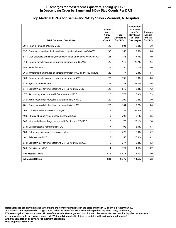| <b>DRG Code and Description</b>                                                | Same-<br>and<br>1-Day<br>Stay<br>Count* | <b>Total</b><br><b>Discharges</b><br>for DRG* | Proportion<br>of Same-<br>and $1-$<br>Day Stays<br>to Total<br><b>Discharges</b> | Average<br>Length<br>of Stay<br>for DRG |
|--------------------------------------------------------------------------------|-----------------------------------------|-----------------------------------------------|----------------------------------------------------------------------------------|-----------------------------------------|
| 291 : Heart failure and shock w MCC                                            | 30                                      | 504                                           | 6.0%                                                                             | 5.0                                     |
| 392 : Esophagitis, gastroenteritis and misc digestive disorders w/o MCC        | 30                                      | 168                                           | 17.9%                                                                            | 3.6                                     |
| 641 : Misc disorders of nutrition, metabolism, fluids and electrolytes w/o MCC | 28                                      | 156                                           | 17.9%                                                                            | 4.9                                     |
| 310 : Cardiac arrhythmia and conduction disorders w/o CC/MCC                   | 25                                      | 110                                           | 22.7%                                                                            | 2.4                                     |
| 683 : Renal failure w CC                                                       | 25                                      | 150                                           | 16.7%                                                                            | 4.0                                     |
| 065 : Intracranial hemorrhage or cerebral infarction w CC or tPA in 24 hours   | 22                                      | 177                                           | 12.4%                                                                            | 4.7                                     |
| 309 : Cardiac arrhythmia and conduction disorders w CC                         | 22                                      | 135                                           | 16.3%                                                                            | 3.0                                     |
| 312 : Syncope and collapse                                                     | 22                                      | 88                                            | 25.0%                                                                            | 3.6                                     |
| 871 : Septicemia or severe sepsis w/o MV >96 hours w MCC                       | 22                                      | 649                                           | 3.4%                                                                             | 7.2                                     |
| 177 : Respiratory infections and inflammations w MCC                           | 20                                      | 375                                           | 5.3%                                                                             | 7.3                                     |
| 280 : Acute myocardial infarction, discharged alive w MCC                      | 20                                      | 209                                           | 9.6%                                                                             | 5.0                                     |
| 281 : Acute myocardial infarction, discharged alive w CC                       | 20                                      | 104                                           | 19.2%                                                                            | 3.0                                     |
| 069 : Transient ischemia w/o thrombolytic                                      | 19                                      | 35                                            | 54.3%                                                                            | 2.2                                     |
| 190 : Chronic obstructive pulmonary disease w MCC                              | 19                                      | 208                                           | 9.1%                                                                             | 4.5                                     |
| 066 : Intracranial hemorrhage or cerebral infarction w/o CC/MCC                | 18                                      | 78                                            | 23.1%                                                                            | 2.8                                     |
| 378 : Gastrointestinal hemorrhage w CC                                         | 17                                      | 192                                           | 8.9%                                                                             | 3.7                                     |
| 189 : Pulmonary edema and respiratory failure                                  | 16                                      | 220                                           | 7.3%                                                                             | 6.7                                     |
| 101 : Seizures w/o MCC                                                         | 15                                      | 56                                            | 26.8%                                                                            | 3.1                                     |
| 872 : Septicemia or severe sepsis w/o MV >96 hours w/o MCC                     | 15                                      | 277                                           | 5.4%                                                                             | 4.3                                     |
| 603 : Cellulitis w/o MCC                                                       | 14                                      | 121                                           | 11.6%                                                                            | 3.7                                     |
| <b>Top Medical DRGs</b>                                                        | 419                                     | 4,012                                         | 10.4%                                                                            | 5.0                                     |
| <b>All Medical DRGs</b>                                                        | 988                                     | 9,376                                         | 10.5%                                                                            | 5.8                                     |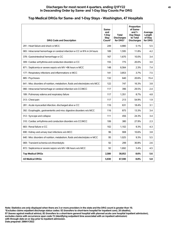## **Top Medical DRGs for Same- and 1-Day Stays - Washington, 47 Hospitals**

| <b>DRG Code and Description</b>                                                | Same-<br>and<br>1-Day<br><b>Stay</b><br>Count* | Total<br><b>Discharges</b><br>for DRG* | Proportion<br>of Same-<br>and $1-$<br>Day Stays<br>to Total<br><b>Discharges</b> | Average<br>Length<br>of Stay<br>for DRG |
|--------------------------------------------------------------------------------|------------------------------------------------|----------------------------------------|----------------------------------------------------------------------------------|-----------------------------------------|
| 291 : Heart failure and shock w MCC                                            | 249                                            | 4.880                                  | 5.1%                                                                             | 5.5                                     |
| 065 : Intracranial hemorrhage or cerebral infarction w CC or tPA in 24 hours   | 189                                            | 1,595                                  | 11.8%                                                                            | 4.2                                     |
| 378 : Gastrointestinal hemorrhage w CC                                         | 167                                            | 1,670                                  | 10.0%                                                                            | 3.4                                     |
| 309 : Cardiac arrhythmia and conduction disorders w CC                         | 155                                            | 775                                    | 20.0%                                                                            | 3.0                                     |
| 871 : Septicemia or severe sepsis w/o MV >96 hours w MCC                       | 148                                            | 6,564                                  | 2.3%                                                                             | 7.4                                     |
| 177 : Respiratory infections and inflammations w MCC                           | 141                                            | 3.853                                  | 3.7%                                                                             | 7.5                                     |
| 885: Psychoses                                                                 | 132                                            | 640                                    | 20.6%                                                                            | 15.4                                    |
| 641 : Misc disorders of nutrition, metabolism, fluids and electrolytes w/o MCC | 122                                            | 747                                    | 16.3%                                                                            | 3.8                                     |
| 066 : Intracranial hemorrhage or cerebral infarction w/o CC/MCC                | 117                                            | 396                                    | 29.5%                                                                            | 2.4                                     |
| 189 : Pulmonary edema and respiratory failure                                  | 117                                            | 1,351                                  | 8.7%                                                                             | 4.8                                     |
| 313 : Chest pain                                                               | 117                                            | 213                                    | 54.9%                                                                            | 1.9                                     |
| 281 : Acute myocardial infarction, discharged alive w CC                       | 116                                            | 631                                    | 18.4%                                                                            | 3.1                                     |
| 392 : Esophagitis, gastroenteritis and misc digestive disorders w/o MCC        | 116                                            | 875                                    | 13.3%                                                                            | 3.4                                     |
| 312 : Syncope and collapse                                                     | 111                                            | 456                                    | 24.3%                                                                            | 3.4                                     |
| 310 : Cardiac arrhythmia and conduction disorders w/o CC/MCC                   | 106                                            | 380                                    | 27.9%                                                                            | 2.3                                     |
| 683 : Renal failure w CC                                                       | 102                                            | 1,102                                  | 9.3%                                                                             | 4.3                                     |
| 690 : Kidney and urinary tract infections w/o MCC                              | 96                                             | 908                                    | 10.6%                                                                            | 3.8                                     |
| 640 : Misc disorders of nutrition, metabolism, fluids and electrolytes w MCC   | 95                                             | 1,025                                  | 9.3%                                                                             | 5.5                                     |
| 069 : Transient ischemia w/o thrombolytic                                      | 92                                             | 299                                    | 30.8%                                                                            | 2.6                                     |
| 872 : Septicemia or severe sepsis w/o MV >96 hours w/o MCC                     | 92                                             | 1,692                                  | 5.4%                                                                             | 4.5                                     |
| <b>Top Medical DRGs</b>                                                        | 2,580                                          | 30,052                                 | 8.6%                                                                             | 5.6                                     |
| <b>All Medical DRGs</b>                                                        | 5,930                                          | 67,590                                 | 8.8%                                                                             | 5.8                                     |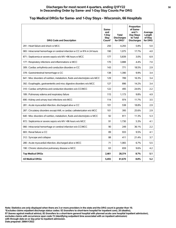#### **Discharges for most recent 4 quarters, ending Q1FY22 50 In Descending Order by Same- and 1-Day Stay Counts Per DRG**

## **Top Medical DRGs for Same- and 1-Day Stays - Wisconsin, 66 Hospitals**

| <b>DRG Code and Description</b>                                                | Same-<br>and<br>1-Day<br>Stay<br>Count* | <b>Total</b><br><b>Discharges</b><br>for DRG* | Proportion<br>of Same-<br>and $1-$<br>Day Stays<br>to Total<br><b>Discharges</b> | Average<br>Length<br>of Stay<br>for DRG |
|--------------------------------------------------------------------------------|-----------------------------------------|-----------------------------------------------|----------------------------------------------------------------------------------|-----------------------------------------|
| 291 : Heart failure and shock w MCC                                            | 250                                     | 4.293                                         | 5.8%                                                                             | 5.0                                     |
| 065 : Intracranial hemorrhage or cerebral infarction w CC or tPA in 24 hours   | 190                                     | 1,075                                         | 17.7%                                                                            | 4.0                                     |
| 871 : Septicemia or severe sepsis w/o MV >96 hours w MCC                       | 177                                     | 5.839                                         | 3.0%                                                                             | 6.9                                     |
| 177 : Respiratory infections and inflammations w MCC                           | 170                                     | 3,888                                         | 4.4%                                                                             | 7.0                                     |
| 309 : Cardiac arrhythmia and conduction disorders w CC                         | 143                                     | 771                                           | 18.5%                                                                            | 2.9                                     |
| 378 : Gastrointestinal hemorrhage w CC                                         | 138                                     | 1,390                                         | 9.9%                                                                             | 3.4                                     |
| 641 : Misc disorders of nutrition, metabolism, fluids and electrolytes w/o MCC | 129                                     | 789                                           | 16.3%                                                                            | 3.4                                     |
| 392 : Esophagitis, gastroenteritis and misc digestive disorders w/o MCC        | 127                                     | 896                                           | 14.2%                                                                            | 3.4                                     |
| 310 : Cardiac arrhythmia and conduction disorders w/o CC/MCC                   | 122                                     | 495                                           | 24.6%                                                                            | 2.2                                     |
| 189 : Pulmonary edema and respiratory failure                                  | 115                                     | 1,173                                         | 9.8%                                                                             | 4.9                                     |
| 690 : Kidney and urinary tract infections w/o MCC                              | 114                                     | 974                                           | 11.7%                                                                            | 3.5                                     |
| 281 : Acute myocardial infarction, discharged alive w CC                       | 101                                     | 538                                           | 18.8%                                                                            | 2.9                                     |
| 287 : Circulatory disorders except AMI, w cardiac catheterization w/o MCC      | 101                                     | 395                                           | 25.6%                                                                            | 2.9                                     |
| 640 : Misc disorders of nutrition, metabolism, fluids and electrolytes w MCC   | 92                                      | 811                                           | 11.3%                                                                            | 5.3                                     |
| 872 : Septicemia or severe sepsis w/o MV >96 hours w/o MCC                     | 91                                      | 1.730                                         | 5.3%                                                                             | 4.1                                     |
| 066 : Intracranial hemorrhage or cerebral infarction w/o CC/MCC                | 90                                      | 249                                           | 36.1%                                                                            | 2.2                                     |
| 683 : Renal failure w CC                                                       | 89                                      | 933                                           | 9.5%                                                                             | 4.1                                     |
| 312 : Syncope and collapse                                                     | 88                                      | 411                                           | 21.4%                                                                            | 3.7                                     |
| 280 : Acute myocardial infarction, discharged alive w MCC                      | 71                                      | 1.065                                         | 6.7%                                                                             | 5.5                                     |
| 190 : Chronic obstructive pulmonary disease w MCC                              | 63                                      | 659                                           | 9.6%                                                                             | 4.2                                     |
| <b>Top Medical DRGs</b>                                                        | 2.461                                   | 28,374                                        | 8.7%                                                                             | 5.1                                     |
| <b>All Medical DRGs</b>                                                        | 5,455                                   | 61,670                                        | 8.8%                                                                             | 5.2                                     |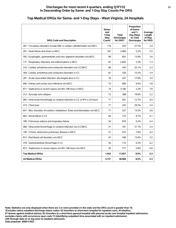## **Top Medical DRGs for Same- and 1-Day Stays - West Virginia, 24 Hospitals**

| <b>DRG Code and Description</b>                                                | Same-<br>and<br>1-Day<br>Stay<br>Count* | Total<br><b>Discharges</b><br>for DRG* | Proportion<br>of Same-<br>and $1-$<br>Day Stays<br>to Total<br><b>Discharges</b> | Average<br>Length<br>of Stay<br>for DRG |
|--------------------------------------------------------------------------------|-----------------------------------------|----------------------------------------|----------------------------------------------------------------------------------|-----------------------------------------|
| 287 : Circulatory disorders except AMI, w cardiac catheterization w/o MCC      | 119                                     | 433                                    | 27.5%                                                                            | 2.9                                     |
| 291 : Heart failure and shock w MCC                                            | 107                                     | 2,066                                  | 5.2%                                                                             | 5.5                                     |
| 392 : Esophagitis, gastroenteritis and misc digestive disorders w/o MCC        | 96                                      | 691                                    | 13.9%                                                                            | 3.6                                     |
| 177 : Respiratory infections and inflammations w MCC                           | 87                                      | 2,605                                  | 3.3%                                                                             | 7.3                                     |
| 310 : Cardiac arrhythmia and conduction disorders w/o CC/MCC                   | 86                                      | 343                                    | 25.1%                                                                            | 2.3                                     |
| 309 : Cardiac arrhythmia and conduction disorders w CC                         | 81                                      | 530                                    | 15.3%                                                                            | 3.4                                     |
| 281 : Acute myocardial infarction, discharged alive w CC                       | 76                                      | 427                                    | 17.8%                                                                            | 3.4                                     |
| 690 : Kidney and urinary tract infections w/o MCC                              | 75                                      | 800                                    | 9.4%                                                                             | 3.8                                     |
| 871 : Septicemia or severe sepsis w/o MV >96 hours w MCC                       | 74                                      | 3,166                                  | 2.3%                                                                             | 7.6                                     |
| 312 : Syncope and collapse                                                     | 72                                      | 388                                    | 18.6%                                                                            | 3.2                                     |
| 065 : Intracranial hemorrhage or cerebral infarction w CC or tPA in 24 hours   | 71                                      | 561                                    | 12.7%                                                                            | 4.0                                     |
| 313 : Chest pain                                                               | 71                                      | 242                                    | 29.3%                                                                            | 2.4                                     |
| 641 : Misc disorders of nutrition, metabolism, fluids and electrolytes w/o MCC | 71                                      | 527                                    | 13.5%                                                                            | 3.6                                     |
| 683 : Renal failure w CC                                                       | 64                                      | 733                                    | 8.7%                                                                             | 4.1                                     |
| 189 : Pulmonary edema and respiratory failure                                  | 54                                      | 876                                    | 6.2%                                                                             | 5.4                                     |
| 066 : Intracranial hemorrhage or cerebral infarction w/o CC/MCC                | 51                                      | 161                                    | 31.7%                                                                            | 2.5                                     |
| 190 : Chronic obstructive pulmonary disease w MCC                              | 51                                      | 675                                    | 7.6%                                                                             | 4.4                                     |
| 812 : Red blood cell disorders w/o MCC                                         | 47                                      | 346                                    | 13.6%                                                                            | 3.5                                     |
| 378 : Gastrointestinal hemorrhage w CC                                         | 45                                      | 710                                    | 6.3%                                                                             | 4.2                                     |
| 872 : Septicemia or severe sepsis w/o MV >96 hours w/o MCC                     | 45                                      | 777                                    | 5.8%                                                                             | 4.8                                     |
| <b>Top Medical DRGs</b>                                                        | 1.443                                   | 17,057                                 | 8.5%                                                                             | 5.3                                     |
| <b>All Medical DRGs</b>                                                        | 3,137                                   | 36,908                                 | 8.5%                                                                             | 5.3                                     |